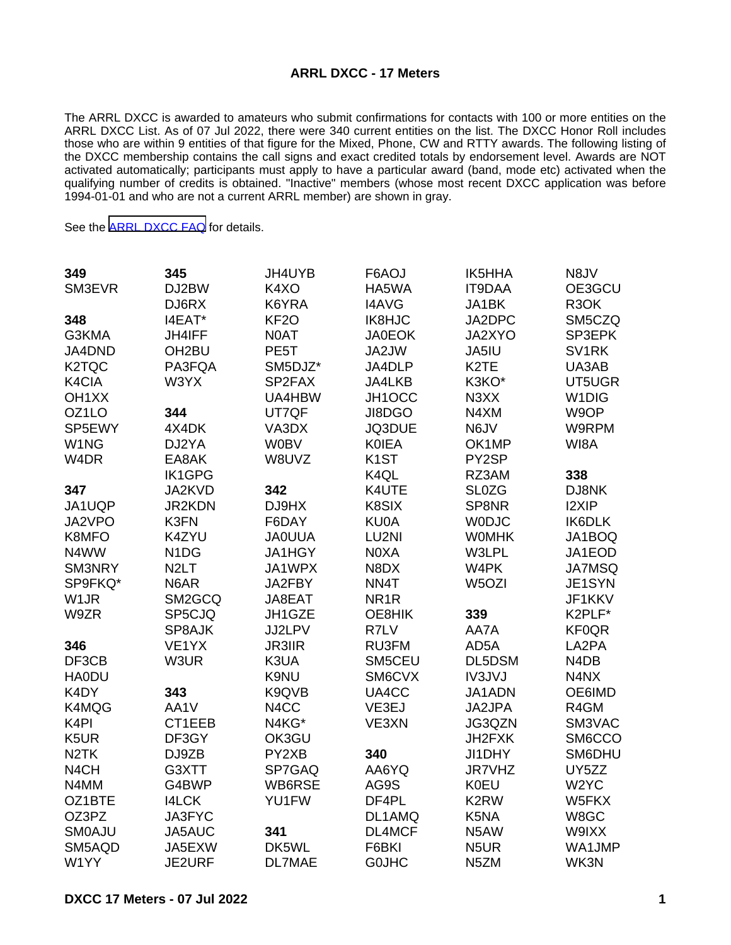## **ARRL DXCC - 17 Meters**

The ARRL DXCC is awarded to amateurs who submit confirmations for contacts with 100 or more entities on the ARRL DXCC List. As of 07 Jul 2022, there were 340 current entities on the list. The DXCC Honor Roll includes those who are within 9 entities of that figure for the Mixed, Phone, CW and RTTY awards. The following listing of the DXCC membership contains the call signs and exact credited totals by endorsement level. Awards are NOT activated automatically; participants must apply to have a particular award (band, mode etc) activated when the qualifying number of credits is obtained. "Inactive" members (whose most recent DXCC application was before 1994-01-01 and who are not a current ARRL member) are shown in gray.

See the [ARRL DXCC FAQ](http://www.arrl.org/dxcc-faq/) for details.

| 349                | 345                           | JH4UYB           | F6AOJ             | <b>IK5HHA</b>     | N8JV               |
|--------------------|-------------------------------|------------------|-------------------|-------------------|--------------------|
| SM3EVR             | DJ2BW                         | K4XO             | HA5WA             | <b>IT9DAA</b>     | OE3GCU             |
|                    | DJ6RX                         | K6YRA            | <b>I4AVG</b>      | JA1BK             | R3OK               |
| 348                | I4EAT*                        | KF <sub>20</sub> | <b>IK8HJC</b>     | JA2DPC            | SM5CZQ             |
| G3KMA              | <b>JH4IFF</b>                 | N0AT             | <b>JA0EOK</b>     | JA2XYO            | SP3EPK             |
| JA4DND             | OH <sub>2</sub> BU            | PE5T             | JA2JW             | JA5IU             | SV <sub>1RK</sub>  |
| K <sub>2</sub> TQC | PA3FQA                        | SM5DJZ*          | JA4DLP            | K <sub>2</sub> TE | UA3AB              |
| K4CIA              | W3YX                          | SP2FAX           | JA4LKB            | K3KO*             | UT5UGR             |
| OH <sub>1</sub> XX |                               | UA4HBW           | JH1OCC            | N3XX              | W <sub>1</sub> DIG |
| OZ1LO              | 344                           | UT7QF            | JI8DGO            | N4XM              | W9OP               |
| SP5EWY             | 4X4DK                         | VA3DX            | JQ3DUE            | N6JV              | W9RPM              |
| W1NG               | DJ2YA                         | <b>W0BV</b>      | <b>KOIEA</b>      | OK1MP             | WI8A               |
| W <sub>4</sub> DR  | EA8AK                         | W8UVZ            | K <sub>1</sub> ST | PY2SP             |                    |
|                    | <b>IK1GPG</b>                 |                  | K4QL              | RZ3AM             | 338                |
| 347                | JA2KVD                        | 342              | K4UTE             | <b>SL0ZG</b>      | DJ8NK              |
| JA1UQP             | <b>JR2KDN</b>                 | DJ9HX            | K8SIX             | SP8NR             | I2XIP              |
| JA2VPO             | K3FN                          | F6DAY            | <b>KU0A</b>       | <b>WODJC</b>      | <b>IK6DLK</b>      |
| K8MFO              | K4ZYU                         | <b>JAOUUA</b>    | LU2NI             | <b>WOMHK</b>      | JA1BOQ             |
| N4WW               | N <sub>1</sub> D <sub>G</sub> | JA1HGY           | N0XA              | W3LPL             | JA1EOD             |
| SM3NRY             | N <sub>2</sub> LT             | JA1WPX           | N8DX              | W4PK              | <b>JA7MSQ</b>      |
| SP9FKQ*            | N6AR                          | JA2FBY           | NN4T              | W5OZI             | JE1SYN             |
| W <sub>1</sub> JR  | SM2GCQ                        | JA8EAT           | NR <sub>1</sub> R |                   | JF1KKV             |
| W9ZR               | SP5CJQ                        | JH1GZE           | OE8HIK            | 339               | K2PLF*             |
|                    | SP8AJK                        | JJ2LPV           | R7LV              | AA7A              | <b>KF0QR</b>       |
| 346                | VE1YX                         | <b>JR3IIR</b>    | RU3FM             | AD5A              | LA2PA              |
| DF3CB              | W3UR                          | K3UA             | SM5CEU            | DL5DSM            | N4DB               |
| <b>HA0DU</b>       |                               | K9NU             | SM6CVX            | <b>IV3JVJ</b>     | N4NX               |
| K4DY               | 343                           | K9QVB            | UA4CC             | JA1ADN            | OE6IMD             |
| K4MQG              | AA1V                          | N4CC             | VE3EJ             | JA2JPA            | R4GM               |
| K <sub>4</sub> PI  | CT1EEB                        | N4KG*            | VE3XN             | JG3QZN            | SM3VAC             |
| K5UR               | DF3GY                         | OK3GU            |                   | JH2FXK            | SM6CCO             |
| N <sub>2</sub> TK  | DJ9ZB                         | PY2XB            | 340               | JI1DHY            | SM6DHU             |
| N <sub>4</sub> CH  | G3XTT                         | SP7GAQ           | AA6YQ             | <b>JR7VHZ</b>     | UY5ZZ              |
| N4MM               | G4BWP                         | WB6RSE           | AG9S              | <b>K0EU</b>       | W <sub>2</sub> YC  |
| OZ1BTE             | <b>I4LCK</b>                  | YU1FW            | DF4PL             | K2RW              | W5FKX              |
| OZ3PZ              | JA3FYC                        |                  | DL1AMQ            | K5NA              | W8GC               |
| <b>SMOAJU</b>      | JA5AUC                        | 341              | DL4MCF            | N5AW              | W9IXX              |
| SM5AQD             | JA5EXW                        | DK5WL            | F6BKI             | N <sub>5</sub> UR | WA1JMP             |
| W1YY               | JE2URF                        | <b>DL7MAE</b>    | <b>GOJHC</b>      | N <sub>5</sub> ZM | WK3N               |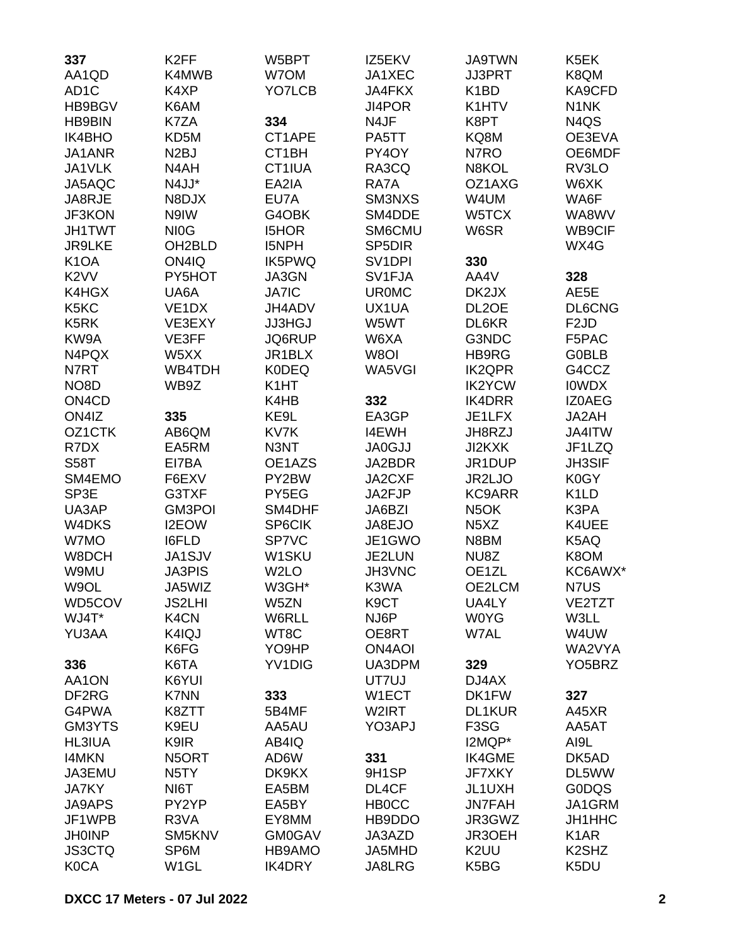| 337                            | K <sub>2</sub> FF   | W5BPT              | IZ5EKV              | <b>JA9TWN</b>                 | K5EK                           |
|--------------------------------|---------------------|--------------------|---------------------|-------------------------------|--------------------------------|
| AA1QD                          | K4MWB               | W7OM               | JA1XEC              | <b>JJ3PRT</b>                 | K8QM                           |
| AD <sub>1</sub> C              | K4XP                | YO7LCB             | JA4FKX              | K <sub>1</sub> BD             | KA9CFD                         |
| HB9BGV                         | K6AM                |                    | JI4POR              | K1HTV                         | N <sub>1</sub> NK              |
| <b>HB9BIN</b>                  | K7ZA                | 334                | N4JF                | K8PT                          | N4QS                           |
| <b>IK4BHO</b>                  | KD5M                | CT1APE             | PA5TT               | KQ8M                          | OE3EVA                         |
| JA1ANR                         | N <sub>2</sub> BJ   | CT <sub>1</sub> BH | PY4OY               | N7RO                          | OE6MDF                         |
| JA1VLK                         | N4AH                | CT1IUA             | RA3CQ               | N8KOL                         | RV3LO                          |
| JA5AQC                         | N4JJ*               | EA2IA              | RA7A                | OZ1AXG                        | W6XK                           |
| JA8RJE                         | N8DJX               | EU7A               | SM3NXS              | W4UM                          | WA6F                           |
| JF3KON                         | N9IW                | G4OBK              | SM4DDE              | W5TCX                         | WA8WV                          |
| <b>JH1TWT</b>                  | NI <sub>0</sub> G   | <b>I5HOR</b>       | SM6CMU              | W6SR                          | WB9CIF                         |
| <b>JR9LKE</b>                  | OH <sub>2</sub> BLD | <b>I5NPH</b>       | SP <sub>5</sub> DIR |                               | WX4G                           |
| K <sub>1</sub> OA              | ON4IQ               | IK5PWQ             | SV <sub>1</sub> DPI | 330                           |                                |
| K <sub>2</sub> VV              | PY5HOT              | JA3GN              | SV1FJA              | AA4V                          | 328                            |
| K4HGX                          | UA6A                | <b>JA7IC</b>       | <b>UR0MC</b>        | DK2JX                         | AE5E                           |
| K5KC                           | VE <sub>1</sub> DX  | JH4ADV             | UX1UA               | DL <sub>2</sub> OE            | DL6CNG                         |
| K <sub>5</sub> RK              | VE3EXY              | <b>JJ3HGJ</b>      | W5WT                | DL6KR                         | F <sub>2</sub> JD              |
| KW9A                           |                     |                    |                     |                               |                                |
|                                | VE3FF               | JQ6RUP             | W6XA<br>W8OI        | G3NDC                         | F5PAC                          |
| N4PQX                          | W5XX                | JR1BLX             |                     | HB9RG                         | <b>GOBLB</b>                   |
| N7RT                           | WB4TDH              | <b>K0DEQ</b>       | WA5VGI              | <b>IK2QPR</b>                 | G4CCZ                          |
| NO <sub>8</sub> D              | WB9Z                | K <sub>1</sub> HT  |                     | <b>IK2YCW</b>                 | <b>IOWDX</b>                   |
| ON <sub>4</sub> C <sub>D</sub> |                     | K4HB               | 332                 | <b>IK4DRR</b>                 | IZ0AEG                         |
| ON4IZ                          | 335                 | KE9L               | EA3GP               | JE1LFX                        | JA2AH                          |
| OZ1CTK                         | AB6QM               | KV7K               | <b>I4EWH</b>        | JH8RZJ                        | JA4ITW                         |
| R7DX                           | EA5RM               | N3NT               | <b>JA0GJJ</b>       | <b>JI2KXK</b>                 | JF1LZQ                         |
| <b>S58T</b>                    | EI7BA               | OE1AZS             | JA2BDR              | JR1DUP                        | <b>JH3SIF</b>                  |
| SM4EMO                         | F6EXV               | PY2BW              | JA2CXF              | JR2LJO                        | K0GY                           |
| SP3E                           | G3TXF               | PY5EG              | JA2FJP              | <b>KC9ARR</b>                 | K <sub>1</sub> LD              |
| UA3AP                          | <b>GM3POI</b>       | SM4DHF             | JA6BZI              | N <sub>5</sub> OK             | K3PA                           |
| W4DKS                          | I2EOW               | SP6CIK             | JA8EJO              | N <sub>5</sub> X <sub>Z</sub> | K4UEE                          |
| W7MO                           | I6FLD               | SP7VC              | JE1GWO              | N8BM                          | K5AQ                           |
| W8DCH                          | JA1SJV              | W1SKU              | JE2LUN              | NU8Z                          | K8OM                           |
| W9MU                           | <b>JA3PIS</b>       | W <sub>2</sub> LO  | JH3VNC              | OE <sub>1ZL</sub>             | KC6AWX*                        |
| W9OL                           | JA5WIZ              | W3GH*              | K3WA                | OE2LCM                        | N7US                           |
| WD5COV                         | <b>JS2LHI</b>       | W5ZN               | K <sub>9</sub> CT   | UA4LY                         | VE2TZT                         |
| WJ4T*                          | K <sub>4</sub> CN   | W6RLL              | NJ6P                | <b>W0YG</b>                   | W3LL                           |
| YU3AA                          | K4IQJ               | WT8C               | OE8RT               | W7AL                          | W4UW                           |
|                                | K6FG                | YO9HP              | <b>ON4AOI</b>       |                               | WA2VYA                         |
| 336                            | K6TA                | <b>YV1DIG</b>      | UA3DPM              | 329                           | YO <sub>5</sub> BRZ            |
| AA1ON                          | K6YUI               |                    | UT7UJ               | DJ4AX                         |                                |
| DF <sub>2</sub> RG             | <b>K7NN</b>         | 333                | W1ECT               | DK1FW                         | 327                            |
| G4PWA                          | K8ZTT               | 5B4MF              | W2IRT               | <b>DL1KUR</b>                 | A45XR                          |
| GM3YTS                         | K9EU                | AA5AU              | YO3APJ              | F <sub>3</sub> SG             | AA5AT                          |
| <b>HL3IUA</b>                  | K9IR                | AB4IQ              |                     | I2MQP*                        | AI9L                           |
| <b>I4MKN</b>                   | N5ORT               | AD6W               | 331                 | <b>IK4GME</b>                 | DK5AD                          |
| JA3EMU                         | N <sub>5</sub> TY   | DK9KX              | 9H1SP               | <b>JF7XKY</b>                 | DL5WW                          |
| <b>JA7KY</b>                   | NI6T                | EA5BM              | DL4CF               | JL1UXH                        | <b>GODQS</b>                   |
| <b>JA9APS</b>                  | PY2YP               | EA5BY              | <b>HBOCC</b>        | <b>JN7FAH</b>                 | JA1GRM                         |
| JF1WPB                         | R3VA                | EY8MM              | HB9DDO              | JR3GWZ                        | JH1HHC                         |
| <b>JH0INP</b>                  | SM5KNV              | <b>GM0GAV</b>      | JA3AZD              | JR3OEH                        | K <sub>1</sub> AR              |
| <b>JS3CTQ</b>                  | SP6M                | HB9AMO             | JA5MHD              | K <sub>2</sub> UU             | K <sub>2</sub> SH <sub>Z</sub> |
| <b>K0CA</b>                    | W <sub>1</sub> GL   | <b>IK4DRY</b>      | JA8LRG              | K5BG                          | K5DU                           |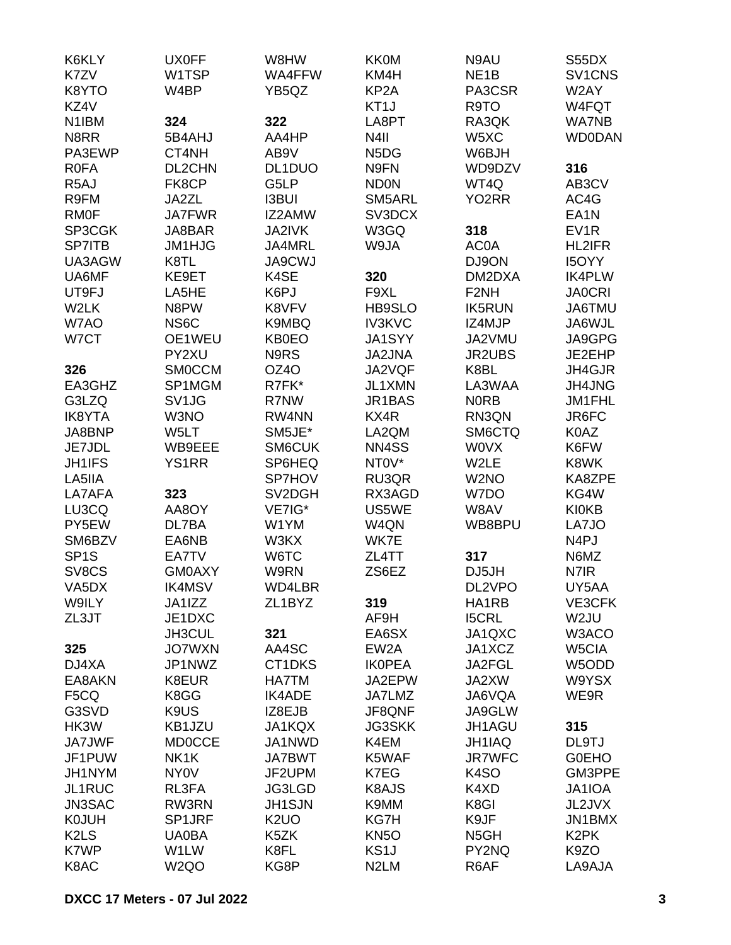| K6KLY                         | <b>UX0FF</b>      | W8HW              | <b>KK0M</b>                   | N9AU                | S55DX               |
|-------------------------------|-------------------|-------------------|-------------------------------|---------------------|---------------------|
| K7ZV                          | W1TSP             | WA4FFW            | KM4H                          | NE <sub>1</sub> B   | SV <sub>1</sub> CNS |
| K8YTO                         | W4BP              | YB5QZ             | KP <sub>2</sub> A             | PA3CSR              | W2AY                |
| KZ4V                          |                   |                   | KT <sub>1</sub> J             | R9TO                | W4FQT               |
| N <sub>1</sub> IBM            | 324               | 322               | LA8PT                         | RA3QK               | <b>WA7NB</b>        |
| N8RR                          | 5B4AHJ            | AA4HP             | N4II                          | W5XC                | <b>WD0DAN</b>       |
| PA3EWP                        | CT4NH             | AB9V              | N <sub>5</sub> D <sub>G</sub> | W6BJH               |                     |
| <b>R0FA</b>                   | DL2CHN            | DL1DUO            | N9FN                          | WD9DZV              | 316                 |
| R <sub>5</sub> AJ             | FK8CP             | G5LP              | <b>ND0N</b>                   | WT4Q                | AB3CV               |
| R9FM                          | JA2ZL             | <b>I3BUI</b>      | SM5ARL                        | YO2RR               | AC4G                |
| <b>RMOF</b>                   | <b>JA7FWR</b>     | IZ2AMW            | SV3DCX                        |                     | EA <sub>1</sub> N   |
| SP3CGK                        | JA8BAR            | JA2IVK            | W3GQ                          | 318                 | EV <sub>1</sub> R   |
| <b>SP7ITB</b>                 | JM1HJG            | JA4MRL            | W9JA                          | AC0A                | <b>HL2IFR</b>       |
| UA3AGW                        | K8TL              | <b>JA9CWJ</b>     |                               | DJ9ON               | <b>I5OYY</b>        |
| UA6MF                         | KE9ET             | K4SE              | 320                           | DM2DXA              | <b>IK4PLW</b>       |
| UT9FJ                         | LA5HE             | K6PJ              | F9XL                          | F <sub>2</sub> NH   | <b>JA0CRI</b>       |
| W2LK                          | N8PW              | K8VFV             | HB9SLO                        | <b>IK5RUN</b>       | JA6TMU              |
| W7AO                          | NS <sub>6</sub> C | K9MBQ             | <b>IV3KVC</b>                 | IZ4MJP              | JA6WJL              |
| W7CT                          | OE1WEU            | <b>KB0EO</b>      | <b>JA1SYY</b>                 | JA2VMU              | JA9GPG              |
|                               | PY2XU             | N9RS              | <b>JA2JNA</b>                 | <b>JR2UBS</b>       | JE2EHP              |
| 326                           | <b>SMOCCM</b>     | OZ4O              | JA2VQF                        | K8BL                | JH4GJR              |
| EA3GHZ                        | SP1MGM            | R7FK*             | JL1XMN                        | LA3WAA              | <b>JH4JNG</b>       |
| G3LZQ                         | SV <sub>1JG</sub> | R7NW              | JR1BAS                        | <b>NORB</b>         | JM1FHL              |
| <b>IK8YTA</b>                 | W3NO              | RW4NN             | KX4R                          | RN3QN               | JR6FC               |
|                               |                   | SM5JE*            | LA2QM                         |                     |                     |
| JA8BNP                        | W5LT              |                   |                               | SM6CTQ              | K0AZ                |
| JE7JDL                        | WB9EEE            | <b>SM6CUK</b>     | NN4SS<br>NT0V*                | <b>WOVX</b><br>W2LE | K6FW                |
| <b>JH1IFS</b>                 | <b>YS1RR</b>      | SP6HEQ            |                               |                     | K8WK                |
| LA5IIA                        |                   | SP7HOV            | RU3QR                         | W2NO                | KA8ZPE              |
| LA7AFA                        | 323               | SV2DGH            | RX3AGD                        | W7DO                | KG4W                |
| LU3CQ                         | AA8OY             | VE7IG*            | US5WE                         | W8AV                | <b>KI0KB</b>        |
| PY5EW                         | DL7BA             | W1YM              | W4QN                          | WB8BPU              | LA7JO               |
| SM6BZV                        | EA6NB             | W3KX              | WK7E                          |                     | N <sub>4</sub> PJ   |
| SP <sub>1</sub> S             | EA7TV             | W6TC              | ZL4TT                         | 317                 | N6MZ                |
| SV8CS                         | <b>GM0AXY</b>     | W9RN              | ZS6EZ                         | DJ5JH               | N7IR                |
| VA <sub>5</sub> DX            | <b>IK4MSV</b>     | WD4LBR            |                               | DL2VPO              | UY5AA               |
| W9ILY                         | JA1IZZ            | ZL1BYZ            | 319                           | HA1RB               | VE3CFK              |
| ZL3JT                         | JE1DXC            |                   | AF9H                          | <b>I5CRL</b>        | W2JU                |
|                               | JH3CUL            | 321               | EA6SX                         | JA1QXC              | W3ACO               |
| 325                           | <b>JO7WXN</b>     | AA4SC             | EW <sub>2</sub> A             | JA1XCZ              | W5CIA               |
| DJ4XA                         | JP1NWZ            | CT1DKS            | <b>IKOPEA</b>                 | JA2FGL              | W5ODD               |
| EA8AKN                        | K8EUR             | <b>HA7TM</b>      | JA2EPW                        | JA2XW               | W9YSX               |
| F <sub>5</sub> CQ             | K8GG              | <b>IK4ADE</b>     | JA7LMZ                        | JA6VQA              | WE9R                |
| G3SVD                         | K9US              | IZ8EJB            | JF8QNF                        | JA9GLW              |                     |
| HK3W                          | KB1JZU            | JA1KQX            | <b>JG3SKK</b>                 | JH1AGU              | 315                 |
| <b>JA7JWF</b>                 | <b>MD0CCE</b>     | JA1NWD            | K4EM                          | JH1IAQ              | DL9TJ               |
| JF1PUW                        | NK1K              | <b>JA7BWT</b>     | K5WAF                         | <b>JR7WFC</b>       | <b>GOEHO</b>        |
| JH1NYM                        | <b>NY0V</b>       | JF2UPM            | K7EG                          | K <sub>4</sub> SO   | GM3PPE              |
| JL1RUC                        | RL3FA             | JG3LGD            | K8AJS                         | K4XD                | JA1IOA              |
| JN3SAC                        | RW3RN             | <b>JH1SJN</b>     | K9MM                          | K8GI                | JL2JVX              |
| <b>K0JUH</b>                  | SP1JRF            | K <sub>2</sub> UO | KG7H                          | K9JF                | JN1BMX              |
| K <sub>2</sub> L <sub>S</sub> | <b>UA0BA</b>      | K5ZK              | KN <sub>5</sub> O             | N <sub>5</sub> GH   | K <sub>2</sub> PK   |
| K7WP                          | W1LW              | K8FL              | KS <sub>1</sub> J             | PY2NQ               | K9ZO                |
| K8AC                          | W <sub>2Q</sub> O | KG8P              | N <sub>2</sub> LM             | R6AF                | LA9AJA              |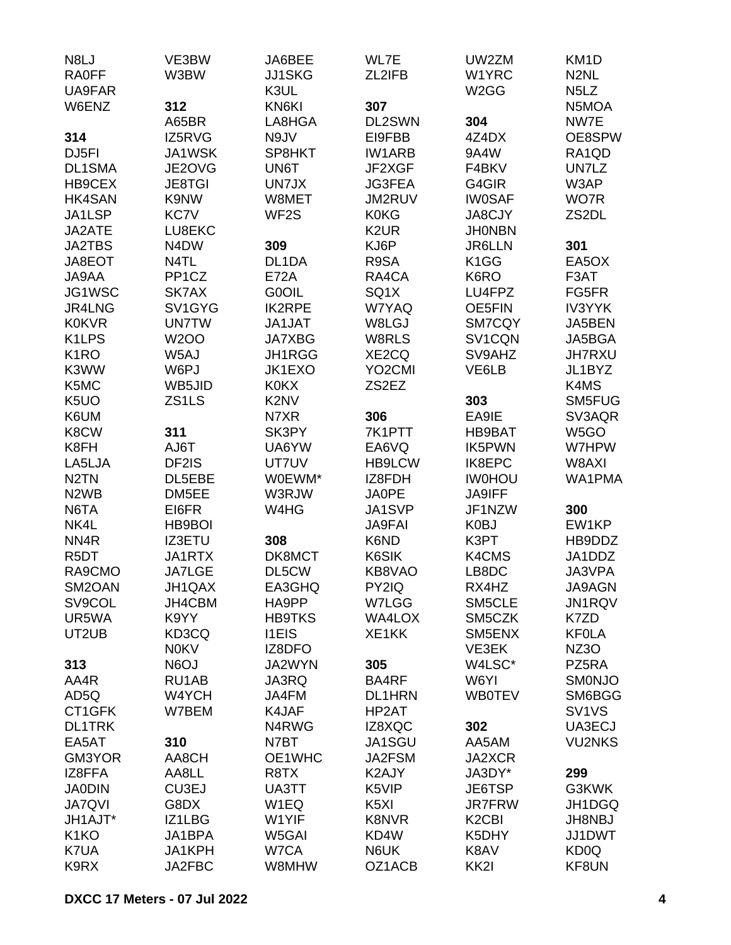| N8LJ                          | VE3BW                         | JA6BEE                        | WL7E                | UW2ZM                          | KM <sub>1</sub> D              |
|-------------------------------|-------------------------------|-------------------------------|---------------------|--------------------------------|--------------------------------|
| <b>RA0FF</b>                  | W3BW                          | <b>JJ1SKG</b>                 | ZL2IFB              | W1YRC                          | N <sub>2</sub> NL              |
| UA9FAR                        |                               | K3UL                          |                     | W <sub>2</sub> GG              | N <sub>5</sub> L <sub>Z</sub>  |
| W6ENZ                         | 312                           | KN6KI                         | 307                 |                                | N5MOA                          |
|                               | A65BR                         | LA8HGA                        | DL2SWN              | 304                            | NW7E                           |
| 314                           | IZ5RVG                        | N9JV                          | EI9FBB              | 4Z4DX                          | OE8SPW                         |
| DJ <sub>5FI</sub>             | JA1WSK                        | SP8HKT                        | <b>IW1ARB</b>       | 9A4W                           | RA1QD                          |
|                               |                               |                               | JF2XGF              |                                | UN7LZ                          |
| <b>DL1SMA</b>                 | JE2OVG                        | UN6T                          |                     | F4BKV                          |                                |
| HB9CEX                        | <b>JE8TGI</b>                 | UN7JX                         | <b>JG3FEA</b>       | G4GIR                          | W3AP                           |
| <b>HK4SAN</b>                 | K9NW                          | W8MET                         | JM2RUV              | <b>IW0SAF</b>                  | WO7R                           |
| JA1LSP                        | KC7V                          | WF <sub>2</sub> S             | <b>K0KG</b>         | JA8CJY                         | ZS2DL                          |
| JA2ATE                        | LU8EKC                        |                               | K <sub>2</sub> UR   | <b>JHONBN</b>                  |                                |
| <b>JA2TBS</b>                 | N <sub>4</sub> D <sub>W</sub> | 309                           | KJ6P                | <b>JR6LLN</b>                  | 301                            |
| JA8EOT                        | N4TL                          | DL1DA                         | R9SA                | K1GG                           | EA5OX                          |
| JA9AA                         | PP1CZ                         | <b>E72A</b>                   | RA4CA               | K6RO                           | F3AT                           |
| JG1WSC                        | SK7AX                         | <b>GOOIL</b>                  | SQ1X                | LU4FPZ                         | FG5FR                          |
| JR4LNG                        | SV1GYG                        | <b>IK2RPE</b>                 | W7YAQ               | OE5FIN                         | <b>IV3YYK</b>                  |
| <b>K0KVR</b>                  | <b>UN7TW</b>                  | <b>JA1JAT</b>                 | W8LGJ               | SM7CQY                         | JA5BEN                         |
| K <sub>1</sub> LPS            | <b>W2OO</b>                   | <b>JA7XBG</b>                 | W8RLS               | SV1CQN                         | JA5BGA                         |
| K <sub>1</sub> RO             | W <sub>5</sub> AJ             | JH1RGG                        | XE2CQ               | SV9AHZ                         | <b>JH7RXU</b>                  |
| K3WW                          | W6PJ                          | JK1EXO                        | YO <sub>2</sub> CMI | VE6LB                          | JL1BYZ                         |
| K5MC                          | WB5JID                        | <b>K0KX</b>                   | ZS2EZ               |                                | K4MS                           |
| K <sub>5</sub> UO             | ZS1LS                         | K <sub>2</sub> N <sub>V</sub> |                     | 303                            | SM5FUG                         |
| K6UM                          |                               | N7XR                          | 306                 | EA9IE                          | SV3AQR                         |
| K8CW                          | 311                           | SK3PY                         | 7K1PTT              | HB9BAT                         | W5GO                           |
| K8FH                          | AJ6T                          | UA6YW                         | EA6VQ               | IK5PWN                         | W7HPW                          |
| LA5LJA                        | DF2IS                         | UT7UV                         | <b>HB9LCW</b>       | <b>IK8EPC</b>                  | W8AXI                          |
|                               |                               |                               |                     |                                |                                |
| N <sub>2</sub> TN             | DL5EBE                        | W0EWM*                        | IZ8FDH              | <b>IW0HOU</b>                  | WA1PMA                         |
| N <sub>2</sub> W <sub>B</sub> | DM5EE                         | W3RJW                         | <b>JA0PE</b>        | <b>JA9IFF</b>                  |                                |
| N6TA                          | EI6FR                         | W4HG                          | JA1SVP              | JF1NZW                         | 300                            |
| NK4L                          | HB9BOI                        |                               | <b>JA9FAI</b>       | K0BJ                           | EW1KP                          |
| NN4R                          | <b>IZ3ETU</b>                 | 308                           | K6ND                | K3PT                           | HB9DDZ                         |
| R <sub>5</sub> DT             | JA1RTX                        | DK8MCT                        | K6SIK               | K4CMS                          | JA1DDZ                         |
| RA9CMO                        | <b>JA7LGE</b>                 | DL5CW                         | KB8VAO              | LB8DC                          | JA3VPA                         |
| SM2OAN                        | JH1QAX                        | EA3GHQ                        | PY2IQ               | RX4HZ                          | JA9AGN                         |
| SV9COL                        | JH4CBM                        | HA9PP                         | W7LGG               | SM5CLE                         | <b>JN1RQV</b>                  |
| UR5WA                         | K9YY                          | <b>HB9TKS</b>                 | WA4LOX              | SM5CZK                         | K7ZD                           |
| UT2UB                         | KD3CQ                         | <b>I1EIS</b>                  | XE1KK               | SM5ENX                         | <b>KF0LA</b>                   |
|                               | <b>N0KV</b>                   | IZ8DFO                        |                     | VE3EK                          | NZ3O                           |
| 313                           | N6OJ                          | JA2WYN                        | 305                 | W4LSC*                         | PZ5RA                          |
| AA4R                          | RU1AB                         | <b>JA3RQ</b>                  | BA4RF               | W6YI                           | <b>SMONJO</b>                  |
| AD5Q                          | W4YCH                         | JA4FM                         | DL1HRN              | <b>WB0TEV</b>                  | SM6BGG                         |
| CT1GFK                        | W7BEM                         | K4JAF                         | HP2AT               |                                | SV <sub>1</sub> V <sub>S</sub> |
| <b>DL1TRK</b>                 |                               | N4RWG                         | IZ8XQC              | 302                            | UA3ECJ                         |
| EA5AT                         | 310                           | N7BT                          | JA1SGU              | AA5AM                          | <b>VU2NKS</b>                  |
| GM3YOR                        | AA8CH                         | OE1WHC                        | JA2FSM              | JA2XCR                         |                                |
| IZ8FFA                        | AA8LL                         | R8TX                          | K2AJY               | JA3DY*                         | 299                            |
| <b>JA0DIN</b>                 | CU3EJ                         | UA3TT                         | K5VIP               | JE6TSP                         | G3KWK                          |
|                               |                               |                               |                     |                                |                                |
| <b>JA7QVI</b>                 | G8DX                          | W <sub>1</sub> EQ             | K <sub>5</sub> XI   | <b>JR7FRW</b>                  | JH1DGQ                         |
| JH1AJT*                       | IZ1LBG                        | W1YIF                         | <b>K8NVR</b>        | K <sub>2</sub> C <sub>BI</sub> | <b>JH8NBJ</b>                  |
| K <sub>1</sub> KO             | JA1BPA                        | W5GAI                         | KD4W                | K5DHY                          | <b>JJ1DWT</b>                  |
| K7UA                          | JA1KPH                        | W7CA                          | N6UK                | K8AV                           | KD0Q                           |
| K9RX                          | JA2FBC                        | W8MHW                         | OZ1ACB              | KK2I                           | KF8UN                          |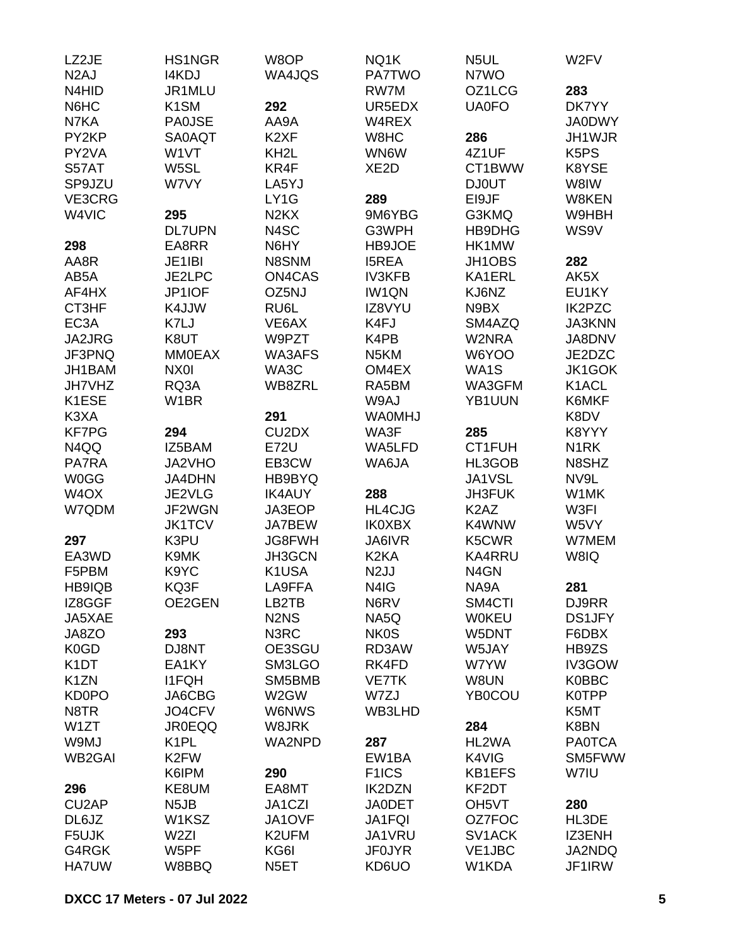| LZ2JE              | <b>HS1NGR</b>     | W8OP                           | NQ1K               | N <sub>5</sub> UL             | W <sub>2</sub> FV             |
|--------------------|-------------------|--------------------------------|--------------------|-------------------------------|-------------------------------|
| N <sub>2</sub> AJ  | <b>I4KDJ</b>      | WA4JQS                         | <b>PA7TWO</b>      | N7WO                          |                               |
| N4HID              | JR1MLU            |                                | RW7M               | OZ1LCG                        | 283                           |
| N6HC               | K <sub>1</sub> SM | 292                            | UR5EDX             | <b>UA0FO</b>                  | DK7YY                         |
| N7KA               | <b>PA0JSE</b>     | AA9A                           | W4REX              |                               | <b>JA0DWY</b>                 |
| PY2KP              | <b>SA0AQT</b>     | K <sub>2</sub> XF              | W8HC               | 286                           | JH1WJR                        |
| PY2VA              | W1VT              | KH <sub>2</sub> L              | WN6W               | 4Z1UF                         | K <sub>5</sub> P <sub>S</sub> |
| S57AT              | W5SL              | KR4F                           | XE <sub>2</sub> D  | CT1BWW                        | K8YSE                         |
| SP9JZU             | W7VY              | LA5YJ                          |                    | <b>DJ0UT</b>                  | W8IW                          |
| VE3CRG             |                   | LY1G                           | 289                | EI9JF                         | W8KEN                         |
| W4VIC              | 295               | N <sub>2</sub> K <sub>X</sub>  | 9M6YBG             | G3KMQ                         | W9HBH                         |
|                    | <b>DL7UPN</b>     | N4SC                           | G3WPH              | HB9DHG                        | WS9V                          |
| 298                | EA8RR             | N6HY                           | HB9JOE             | HK1MW                         |                               |
| AA8R               | JE1IBI            | N8SNM                          | <b>I5REA</b>       | JH1OBS                        | 282                           |
| AB5A               | JE2LPC            | ON4CAS                         | <b>IV3KFB</b>      | KA1ERL                        | AK5X                          |
| AF4HX              | JP1IOF            | OZ5NJ                          | <b>IW1QN</b>       | KJ6NZ                         | EU1KY                         |
| CT3HF              | K4JJW             | RU6L                           | IZ8VYU             | N9BX                          | <b>IK2PZC</b>                 |
| EC <sub>3</sub> A  | K7LJ              | VE6AX                          | K4FJ               | SM4AZQ                        | <b>JA3KNN</b>                 |
| JA2JRG             | K8UT              | W9PZT                          | K4PB               | W2NRA                         | JA8DNV                        |
| JF3PNQ             | <b>MM0EAX</b>     | WA3AFS                         | N <sub>5</sub> KM  | W6YOO                         | JE2DZC                        |
| JH1BAM             | NX0I              | WA3C                           | OM4EX              | WA1S                          | JK1GOK                        |
| JH7VHZ             | RQ3A              | WB8ZRL                         | RA5BM              | WA3GFM                        | K1ACL                         |
| K1ESE              | W <sub>1</sub> BR |                                | W9AJ               | YB1UUN                        | K6MKF                         |
| K3XA               |                   | 291                            | <b>WA0MHJ</b>      |                               | K8DV                          |
| <b>KF7PG</b>       | 294               | CU <sub>2</sub> D <sub>X</sub> | WA3F               | 285                           | K8YYY                         |
| N4QQ               | IZ5BAM            | <b>E72U</b>                    | WA5LFD             | CT1FUH                        | N <sub>1</sub> RK             |
| PA7RA              | JA2VHO            | EB3CW                          | WA6JA              | HL3GOB                        | N8SHZ                         |
| <b>W0GG</b>        | <b>JA4DHN</b>     | HB9BYQ                         |                    | JA1VSL                        | NV9L                          |
| W <sub>4</sub> OX  | JE2VLG            | <b>IK4AUY</b>                  | 288                | <b>JH3FUK</b>                 | W1MK                          |
| W7QDM              | JF2WGN            | JA3EOP                         | <b>HL4CJG</b>      | K <sub>2</sub> A <sub>Z</sub> | W3FI                          |
|                    | <b>JK1TCV</b>     | JA7BEW                         | <b>IK0XBX</b>      | K4WNW                         | W5VY                          |
| 297                | K3PU              | <b>JG8FWH</b>                  | JA6IVR             | K5CWR                         | W7MEM                         |
| EA3WD              | K9MK              | JH3GCN                         | K <sub>2</sub> KA  | <b>KA4RRU</b>                 | W8IQ                          |
| F5PBM              | K9YC              | K1USA                          | N <sub>2</sub> JJ  | N <sub>4</sub> GN             |                               |
|                    |                   | LA9FFA                         |                    |                               |                               |
| HB9IQB<br>IZ8GGF   | KQ3F<br>OE2GEN    | LB2TB                          | N4IG<br>N6RV       | NA9A<br>SM4CTI                | 281<br>DJ9RR                  |
|                    |                   | N <sub>2</sub> N <sub>S</sub>  |                    |                               |                               |
| JA5XAE             |                   |                                | NA5Q               | <b>WOKEU</b><br>W5DNT         | <b>DS1JFY</b>                 |
| JA8ZO              | 293               | N3RC                           | <b>NK0S</b>        |                               | F6DBX<br>HB9ZS                |
| K <sub>0</sub> GD  | DJ8NT             | OE3SGU                         | RD3AW<br>RK4FD     | W5JAY                         |                               |
| K <sub>1</sub> DT  | EA1KY             | SM3LGO                         |                    | W7YW                          | IV3GOW                        |
| K <sub>1</sub> ZN  | <b>I1FQH</b>      | SM5BMB                         | <b>VE7TK</b>       | W8UN                          | <b>K0BBC</b>                  |
| <b>KD0PO</b>       | JA6CBG            | W2GW                           | W7ZJ               | YB0COU                        | <b>K0TPP</b>                  |
| N8TR               | JO4CFV            | <b>W6NWS</b>                   | WB3LHD             |                               | K5MT                          |
| W1ZT               | <b>JR0EQQ</b>     | W8JRK                          |                    | 284                           | K8BN                          |
| W9MJ               | K <sub>1</sub> PL | WA2NPD                         | 287                | HL2WA                         | <b>PA0TCA</b>                 |
| <b>WB2GAI</b>      | K <sub>2</sub> FW |                                | EW1BA              | K4VIG                         | SM5FWW                        |
|                    | K6IPM             | 290                            | F <sub>1</sub> ICS | <b>KB1EFS</b>                 | W7IU                          |
| 296                | KE8UM             | EA8MT                          | <b>IK2DZN</b>      | KF2DT                         |                               |
| CU <sub>2</sub> AP | N <sub>5</sub> JB | JA1CZI                         | <b>JA0DET</b>      | OH <sub>5</sub> VT            | 280                           |
| DL6JZ              | W1KSZ             | JA1OVF                         | JA1FQI             | OZ7FOC                        | HL3DE                         |
| F5UJK              | W <sub>2ZI</sub>  | K2UFM                          | JA1VRU             | SV1ACK                        | IZ3ENH                        |
| G4RGK              | W5PF              | KG6I                           | <b>JF0JYR</b>      | VE1JBC                        | JA2NDQ                        |
| <b>HA7UW</b>       | W8BBQ             | N <sub>5</sub> ET              | KD6UO              | W1KDA                         | JF1IRW                        |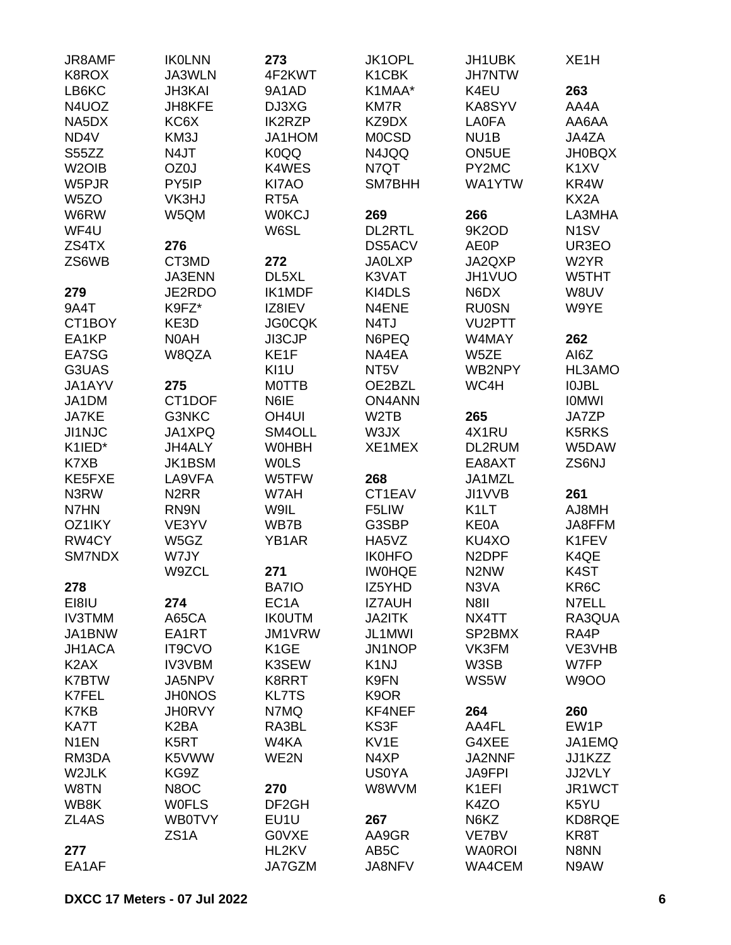| JR8AMF<br>K8ROX    | <b>IKOLNN</b><br>JA3WLN       | 273<br>4F2KWT     | JK1OPL<br>K1CBK   | JH1UBK<br><b>JH7NTW</b>       | XE <sub>1</sub> H |
|--------------------|-------------------------------|-------------------|-------------------|-------------------------------|-------------------|
| LB6KC              | <b>JH3KAI</b>                 | 9A1AD             | K1MAA*            | K4EU                          | 263               |
| N4UOZ              | JH8KFE                        | DJ3XG             | <b>KM7R</b>       | KA8SYV                        | AA4A              |
| NA5DX              | KC6X                          | <b>IK2RZP</b>     | KZ9DX             | <b>LA0FA</b>                  | AA6AA             |
| ND4V               | KM3J                          | JA1HOM            | <b>MOCSD</b>      | NU <sub>1</sub> B             | JA4ZA             |
| S55ZZ              | N4JT                          | K0QQ              | N4JQQ             | ON5UE                         | <b>JH0BQX</b>     |
| W <sub>2</sub> OIB | OZ0J                          | K4WES             | N7QT              | PY2MC                         | K <sub>1</sub> XV |
|                    | PY5IP                         | KI7AO             |                   | WA1YTW                        |                   |
| W5PJR              |                               |                   | SM7BHH            |                               | KR4W              |
| W <sub>5</sub> ZO  | VK3HJ                         | RT <sub>5</sub> A |                   |                               | KX2A              |
| W6RW               | W5QM                          | <b>WOKCJ</b>      | 269               | 266                           | LA3MHA            |
| WF4U               |                               | W6SL              | DL2RTL            | 9K2OD                         | N <sub>1</sub> SV |
| ZS4TX              | 276                           |                   | DS5ACV            | <b>AE0P</b>                   | UR3EO             |
| ZS6WB              | CT3MD                         | 272               | <b>JA0LXP</b>     | JA2QXP                        | W <sub>2</sub> YR |
|                    | <b>JA3ENN</b>                 | DL5XL             | K3VAT             | JH1VUO                        | W5THT             |
| 279                | JE2RDO                        | IK1MDF            | KI4DLS            | N6DX                          | W8UV              |
| 9A4T               | K9FZ*                         | IZ8IEV            | N4ENE             | <b>RU0SN</b>                  | W9YE              |
| CT1BOY             | KE3D                          | <b>JG0CQK</b>     | N <sub>4</sub> TJ | <b>VU2PTT</b>                 |                   |
| EA1KP              | N0AH                          | JI3CJP            | N6PEQ             | W4MAY                         | 262               |
| EA7SG              | W8QZA                         | KE1F              | NA4EA             | W5ZE                          | AI6Z              |
| G3UAS              |                               | KI1U              | NT <sub>5</sub> V | WB2NPY                        | HL3AMO            |
| JA1AYV             | 275                           | <b>MOTTB</b>      | OE2BZL            | WC4H                          | <b>IOJBL</b>      |
| JA1DM              | CT1DOF                        | N6IE              | <b>ON4ANN</b>     |                               | <b>IOMWI</b>      |
| JA7KE              | G3NKC                         | OH <sub>4UI</sub> | W <sub>2</sub> TB | 265                           | JA7ZP             |
| <b>JI1NJC</b>      | JA1XPQ                        | SM4OLL            | W3JX              | 4X1RU                         | <b>K5RKS</b>      |
| K1IED*             | JH4ALY                        | <b>WOHBH</b>      | XE1MEX            | DL2RUM                        | W5DAW             |
| K7XB               | <b>JK1BSM</b>                 | <b>WOLS</b>       |                   | EA8AXT                        | ZS6NJ             |
| KE5FXE             | LA9VFA                        | W5TFW             | 268               | JA1MZL                        |                   |
| N3RW               | N <sub>2</sub> RR             | W7AH              | CT1EAV            | JI1VVB                        | 261               |
| N7HN               | RN9N                          | W9IL              | F5LIW             | K <sub>1</sub> LT             | AJ8MH             |
| OZ1IKY             | VE3YV                         | WB7B              | G3SBP             | KE0A                          | JA8FFM            |
| RW4CY              | W5GZ                          | YB1AR             | HA5VZ             | KU4XO                         | K1FEV             |
| <b>SM7NDX</b>      | W7JY                          |                   | <b>IK0HFO</b>     | N <sub>2</sub> DPF            | K4QE              |
|                    | W9ZCL                         | 271               | <b>IWOHQE</b>     | N <sub>2</sub> N <sub>W</sub> | K4ST              |
| 278                |                               | <b>BA7IO</b>      | IZ5YHD            | N3VA                          | KR6C              |
| EI8IU              | 274                           | EC <sub>1</sub> A | <b>IZ7AUH</b>     | N8II                          | N7ELL             |
| <b>IV3TMM</b>      | A65CA                         | <b>IKOUTM</b>     | <b>JA2ITK</b>     | NX4TT                         | RA3QUA            |
| JA1BNW             | EA1RT                         | JM1VRW            | JL1MWI            | SP2BMX                        | RA4P              |
| JH1ACA             | <b>IT9CVO</b>                 | K <sub>1</sub> GE | JN1NOP            | VK3FM                         | VE3VHB            |
| K <sub>2</sub> AX  | <b>IV3VBM</b>                 | K3SEW             | K <sub>1</sub> NJ | W3SB                          | W7FP              |
| <b>K7BTW</b>       | JA5NPV                        | K8RRT             | K9FN              | WS5W                          | <b>W9OO</b>       |
| K7FEL              | <b>JH0NOS</b>                 | <b>KL7TS</b>      | K <sub>9</sub> OR |                               |                   |
| K7KB               | <b>JH0RVY</b>                 | N7MQ              | KF4NEF            | 264                           | 260               |
| KA7T               | K <sub>2</sub> BA             | RA3BL             | KS3F              | AA4FL                         | EW1P              |
| N <sub>1</sub> EN  | K5RT                          | W4KA              | KV1E              | G4XEE                         | JA1EMQ            |
| RM3DA              | K5VWW                         | WE2N              | N4XP              | JA2NNF                        | JJ1KZZ            |
| W2JLK              | KG9Z                          |                   | <b>US0YA</b>      | <b>JA9FPI</b>                 | JJ2VLY            |
| W8TN               | N8OC                          | 270               | W8WVM             | K1EFI                         | JR1WCT            |
|                    |                               | DF <sub>2GH</sub> |                   |                               | K5YU              |
| WB8K               | <b>WOFLS</b><br><b>WB0TVY</b> |                   | 267               | K4ZO                          | KD8RQE            |
| ZL4AS              | ZS <sub>1</sub> A             | EU1U              | AA9GR             | N6KZ                          |                   |
|                    |                               | <b>GOVXE</b>      |                   | VE7BV                         | KR8T              |
| 277                |                               | HL2KV             | AB <sub>5</sub> C | <b>WA0ROI</b>                 | N8NN              |
| EA1AF              |                               | JA7GZM            | JA8NFV            | WA4CEM                        | N9AW              |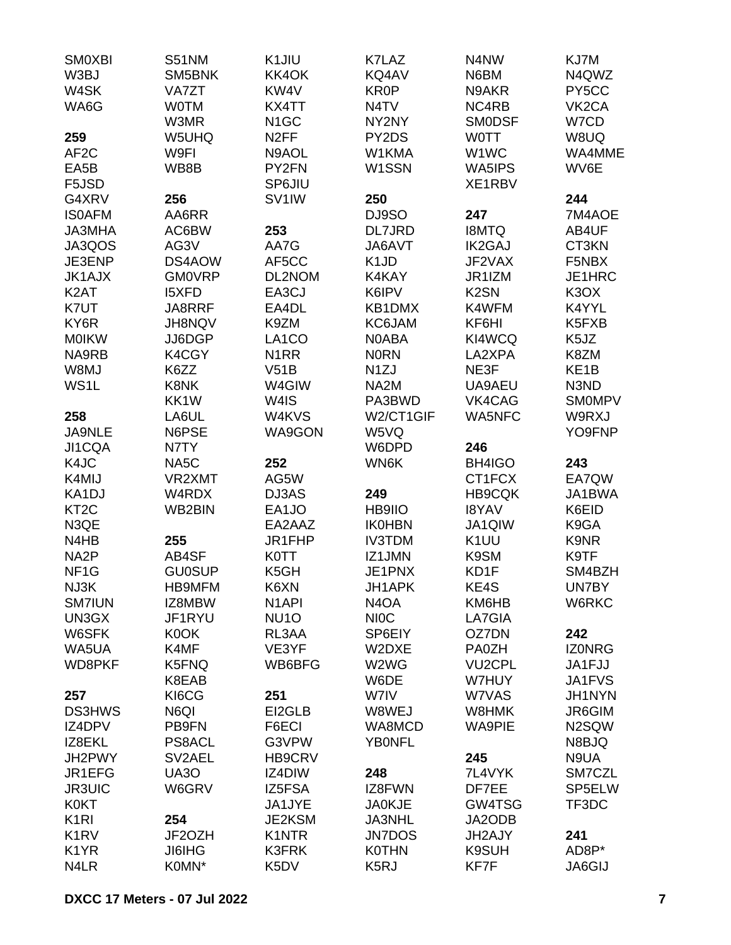| <b>SMOXBI</b>                 | S51NM         | K1JIU              | K7LAZ                         | N4NW              | KJ7M               |
|-------------------------------|---------------|--------------------|-------------------------------|-------------------|--------------------|
| W3BJ                          | SM5BNK        | KK4OK              | KQ4AV                         | N6BM              | N4QWZ              |
| W4SK                          | <b>VA7ZT</b>  | KW4V               | <b>KR0P</b>                   | N9AKR             | PY5CC              |
| WA6G                          | <b>WOTM</b>   | KX4TT              | N4TV                          | NC4RB             | VK <sub>2</sub> CA |
|                               | W3MR          | N <sub>1</sub> GC  | NY2NY                         | <b>SMODSF</b>     | W7CD               |
| 259                           | W5UHQ         | N <sub>2</sub> FF  | PY2DS                         | <b>WOTT</b>       | W8UQ               |
| AF <sub>2</sub> C             | W9FI          | N9AOL              | W1KMA                         | W1WC              | WA4MME             |
| EA5B                          | WB8B          | PY2FN              | W1SSN                         | WA5IPS            | WV6E               |
| F5JSD                         |               | SP6JIU             |                               | XE1RBV            |                    |
| G4XRV                         | 256           | SV <sub>1</sub> IW | 250                           |                   | 244                |
| <b>ISOAFM</b>                 | AA6RR         |                    | DJ9SO                         | 247               | 7M4AOE             |
| <b>JA3MHA</b>                 | AC6BW         | 253                | DL7JRD                        | <b>I8MTQ</b>      | AB4UF              |
| JA3QOS                        | AG3V          | AA7G               | JA6AVT                        | <b>IK2GAJ</b>     | CT3KN              |
|                               |               |                    |                               |                   |                    |
| JE3ENP                        | DS4AOW        | AF5CC              | K <sub>1</sub> J <sub>D</sub> | JF2VAX            | F5NBX              |
| <b>JK1AJX</b>                 | <b>GM0VRP</b> | DL2NOM             | K4KAY                         | JR1IZM            | JE1HRC             |
| K <sub>2</sub> AT             | <b>I5XFD</b>  | EA3CJ              | K6IPV                         | K <sub>2</sub> SN | K <sub>3</sub> OX  |
| K7UT                          | JA8RRF        | EA4DL              | KB1DMX                        | K4WFM             | K4YYL              |
| KY6R                          | JH8NQV        | K9ZM               | KC6JAM                        | KF6HI             | K5FXB              |
| <b>MOIKW</b>                  | JJ6DGP        | LA <sub>1</sub> CO | <b>NOABA</b>                  | KI4WCQ            | K <sub>5</sub> JZ  |
| NA9RB                         | K4CGY         | N <sub>1</sub> RR  | <b>NORN</b>                   | LA2XPA            | K8ZM               |
| W8MJ                          | K6ZZ          | V51B               | N <sub>1</sub> ZJ             | NE3F              | KE <sub>1</sub> B  |
| WS1L                          | K8NK          | W4GIW              | NA2M                          | UA9AEU            | N3ND               |
|                               | KK1W          | W4IS               | PA3BWD                        | VK4CAG            | <b>SMOMPV</b>      |
| 258                           | LA6UL         | W4KVS              | W2/CT1GIF                     | <b>WA5NFC</b>     | W9RXJ              |
| <b>JA9NLE</b>                 | N6PSE         | WA9GON             | W5VQ                          |                   | YO9FNP             |
| JI1CQA                        | N7TY          |                    | W6DPD                         | 246               |                    |
| K4JC                          | NA5C          | 252                | WN6K                          | BH4IGO            | 243                |
| K4MIJ                         | VR2XMT        | AG5W               |                               | CT1FCX            | EA7QW              |
| KA1DJ                         | W4RDX         | DJ3AS              | 249                           | <b>HB9CQK</b>     | JA1BWA             |
| KT <sub>2</sub> C             | WB2BIN        | EA1JO              | HB9IIO                        | <b>I8YAV</b>      | K6EID              |
| N3QE                          |               | EA2AAZ             | <b>IK0HBN</b>                 | JA1QIW            | K9GA               |
| N4HB                          | 255           | JR1FHP             | <b>IV3TDM</b>                 | K <sub>1</sub> UU | K9NR               |
| NA <sub>2</sub> P             | AB4SF         | <b>K0TT</b>        | IZ1JMN                        | K9SM              | K9TF               |
| NF <sub>1</sub> G             | <b>GU0SUP</b> | K <sub>5</sub> GH  | JE1PNX                        | KD1F              | SM4BZH             |
| NJ3K                          | HB9MFM        | K6XN               | JH1APK                        | KE4S              | UN7BY              |
| <b>SM7IUN</b>                 | IZ8MBW        | N <sub>1</sub> API | N <sub>4</sub> OA             | KM6HB             | W6RKC              |
| UN3GX                         | JF1RYU        | NU <sub>10</sub>   | <b>NIOC</b>                   | LA7GIA            |                    |
| W6SFK                         | K0OK          | RL3AA              | SP6EIY                        | OZ7DN             | 242                |
| WA5UA                         | K4MF          | VE3YF              | W2DXE                         | PA0ZH             | <b>IZONRG</b>      |
| WD8PKF                        | K5FNQ         | WB6BFG             | W2WG                          | <b>VU2CPL</b>     | JA1FJJ             |
|                               | K8EAB         |                    | W6DE                          | W7HUY             | JA1FVS             |
| 257                           | KI6CG         | 251                | W7IV                          | W7VAS             | JH1NYN             |
| <b>DS3HWS</b>                 | N6QI          | EI2GLB             | W8WEJ                         | W8HMK             | JR6GIM             |
| IZ4DPV                        | PB9FN         | F6ECI              | WA8MCD                        | <b>WA9PIE</b>     | N2SQW              |
| IZ8EKL                        |               | G3VPW              |                               |                   |                    |
|                               | PS8ACL        |                    | <b>YBONFL</b>                 |                   | N8BJQ              |
| JH2PWY                        | SV2AEL        | <b>HB9CRV</b>      |                               | 245               | N9UA               |
| JR1EFG                        | <b>UA30</b>   | IZ4DIW             | 248                           | 7L4VYK            | SM7CZL             |
| <b>JR3UIC</b>                 | W6GRV         | IZ5FSA             | IZ8FWN                        | DF7EE             | SP5ELW             |
| <b>K0KT</b>                   |               | JA1JYE             | <b>JA0KJE</b>                 | GW4TSG            | TF3DC              |
| K <sub>1</sub> RI             | 254           | JE2KSM             | <b>JA3NHL</b>                 | JA2ODB            |                    |
| K <sub>1</sub> R <sub>V</sub> | JF2OZH        | K1NTR              | <b>JN7DOS</b>                 | JH2AJY            | 241                |
| K <sub>1</sub> YR             | <b>JI6IHG</b> | <b>K3FRK</b>       | <b>K0THN</b>                  | <b>K9SUH</b>      | AD8P*              |
| N4LR                          | K0MN*         | K5DV               | K <sub>5</sub> RJ             | KF7F              | <b>JA6GIJ</b>      |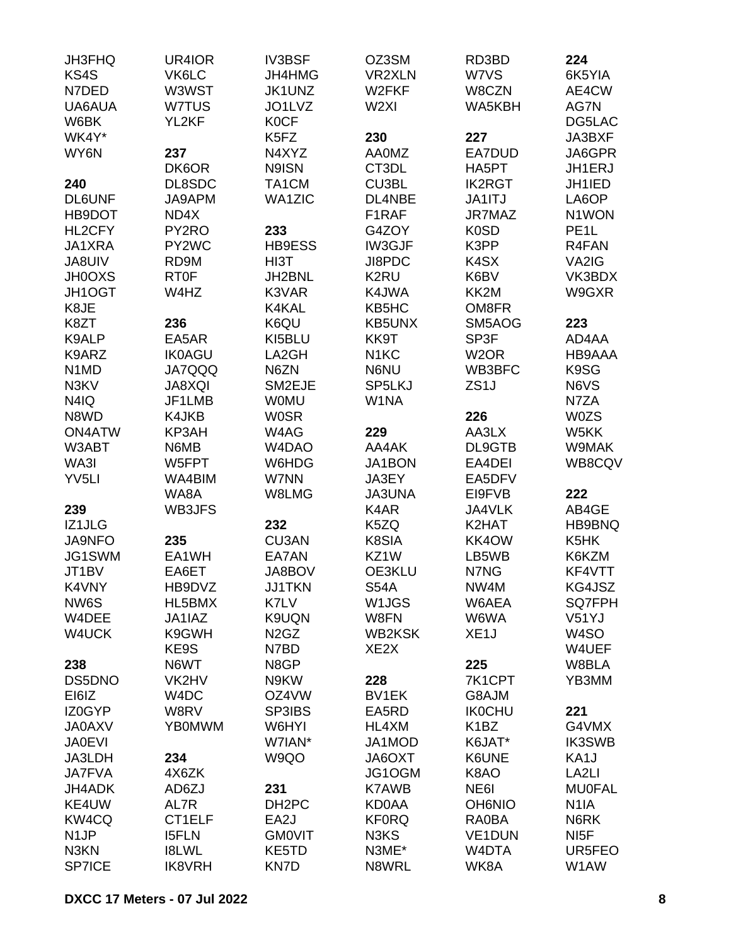| JH3FHQ                        | UR4IOR        | <b>IV3BSF</b>                 | OZ3SM                         | RD3BD                         | 224               |
|-------------------------------|---------------|-------------------------------|-------------------------------|-------------------------------|-------------------|
| KS4S                          | VK6LC         | JH4HMG                        | <b>VR2XLN</b>                 | W7VS                          | 6K5YIA            |
| N7DED                         | W3WST         | JK1UNZ                        | W2FKF                         | W8CZN                         | AE4CW             |
| UA6AUA                        | W7TUS         | JO1LVZ                        | W <sub>2XI</sub>              | WA5KBH                        | AG7N              |
| W6BK                          | YL2KF         | <b>K0CF</b>                   |                               |                               | DG5LAC            |
| WK4Y*                         |               | K5FZ                          | 230                           | 227                           | JA3BXF            |
| WY6N                          | 237           | N4XYZ                         | <b>AA0MZ</b>                  | EA7DUD                        | JA6GPR            |
|                               | DK6OR         | N9ISN                         | CT3DL                         | HA5PT                         | JH1ERJ            |
| 240                           | DL8SDC        | TA1CM                         | CU3BL                         | <b>IK2RGT</b>                 | JH1IED            |
| <b>DL6UNF</b>                 | JA9APM        | <b>WA1ZIC</b>                 | DL4NBE                        | JA1ITJ                        | LA6OP             |
| HB9DOT                        | ND4X          |                               | F1RAF                         | JR7MAZ                        | N1WON             |
| HL2CFY                        | PY2RO         | 233                           | G4ZOY                         | <b>K0SD</b>                   | PE <sub>1</sub> L |
| JA1XRA                        | PY2WC         | HB9ESS                        | IW3GJF                        | K3PP                          | R4FAN             |
| <b>JA8UIV</b>                 | RD9M          | HI3T                          | JI8PDC                        | K4SX                          | VA2IG             |
| <b>JH0OXS</b>                 | RT0F          | JH2BNL                        | K <sub>2</sub> RU             | K6BV                          | VK3BDX            |
| JH1OGT                        | W4HZ          | K3VAR                         | K4JWA                         | KK2M                          | W9GXR             |
| K8JE                          |               | K4KAL                         | KB5HC                         | OM8FR                         |                   |
| K8ZT                          | 236           | K6QU                          | KB5UNX                        | SM5AOG                        | 223               |
| K9ALP                         | EA5AR         | KI5BLU                        | KK9T                          | SP3F                          | AD4AA             |
| K9ARZ                         | <b>IK0AGU</b> | LA2GH                         | N <sub>1</sub> KC             | W <sub>2</sub> OR             | HB9AAA            |
| N <sub>1</sub> M <sub>D</sub> | <b>JA7QQQ</b> | N6ZN                          | N6NU                          | WB3BFC                        | K9SG              |
| N3KV                          | <b>JA8XQI</b> | SM2EJE                        | SP5LKJ                        | ZS <sub>1</sub> J             | N6VS              |
| N4IQ                          | JF1LMB        | <b>WOMU</b>                   | W1NA                          |                               | N7ZA              |
| N8WD                          | K4JKB         | <b>W0SR</b>                   |                               | 226                           | <b>W0ZS</b>       |
| <b>ON4ATW</b>                 | KP3AH         | W4AG                          | 229                           | AA3LX                         |                   |
| W3ABT                         | N6MB          | W4DAO                         | AA4AK                         | DL9GTB                        | W5KK              |
|                               |               |                               |                               |                               | W9MAK             |
| WA3I                          | W5FPT         | W6HDG                         | JA1BON                        | EA4DEI                        | WB8CQV            |
| YV <sub>5LI</sub>             | WA4BIM        | W7NN                          | JA3EY                         | EA5DFV                        |                   |
|                               | WA8A          | W8LMG                         | <b>JA3UNA</b>                 | EI9FVB                        | 222               |
| 239                           | WB3JFS        |                               | K4AR                          | JA4VLK                        | AB4GE             |
| IZ1JLG                        |               | 232                           | K5ZQ                          | K2HAT                         | HB9BNQ            |
| <b>JA9NFO</b>                 | 235           | CU3AN                         | K8SIA                         | KK4OW                         | K5HK              |
| JG1SWM                        | EA1WH         | EA7AN                         | KZ1W                          | LB5WB                         | K6KZM             |
| JT1BV                         | EA6ET         | JA8BOV                        | OE3KLU                        | N7NG                          | KF4VTT            |
| K4VNY                         | HB9DVZ        | <b>JJ1TKN</b>                 | <b>S54A</b>                   | NW4M                          | KG4JSZ            |
| NW6S                          | HL5BMX        | K7LV                          | W1JGS                         | W6AEA                         | SQ7FPH            |
| W4DEE                         | JA1IAZ        | K9UQN                         | W8FN                          | W6WA                          | V51YJ             |
| W4UCK                         | K9GWH         | N <sub>2</sub> G <sub>Z</sub> | <b>WB2KSK</b>                 | XE <sub>1</sub> J             | W <sub>4</sub> SO |
|                               | KE9S          | N7BD                          | XE <sub>2</sub> X             |                               | W4UEF             |
| 238                           | N6WT          | N8GP                          |                               | 225                           | W8BLA             |
| DS5DNO                        | VK2HV         | N9KW                          | 228                           | 7K1CPT                        | YB3MM             |
| EI6IZ                         | W4DC          | OZ4VW                         | BV1EK                         | G8AJM                         |                   |
| IZ0GYP                        | W8RV          | SP3IBS                        | EA5RD                         | <b>IK0CHU</b>                 | 221               |
| <b>JA0AXV</b>                 | <b>YB0MWM</b> | W6HYI                         | HL4XM                         | K <sub>1</sub> B <sub>Z</sub> | G4VMX             |
| <b>JA0EVI</b>                 |               | W7IAN*                        | JA1MOD                        | K6JAT*                        | <b>IK3SWB</b>     |
| JA3LDH                        | 234           | W9QO                          | JA6OXT                        | K6UNE                         | KA1J              |
| <b>JA7FVA</b>                 | 4X6ZK         |                               | JG1OGM                        | K8AO                          | LA <sub>2LI</sub> |
| JH4ADK                        | AD6ZJ         | 231                           | K7AWB                         | NE6I                          | <b>MU0FAL</b>     |
| KE4UW                         | AL7R          | DH <sub>2</sub> PC            | <b>KD0AA</b>                  | <b>OH6NIO</b>                 | N <sub>1</sub> IA |
| KW4CQ                         | CT1ELF        | EA2J                          | <b>KF0RQ</b>                  | RA0BA                         | N6RK              |
| N <sub>1</sub> JP             | <b>I5FLN</b>  | <b>GMOVIT</b>                 | N <sub>3</sub> K <sub>S</sub> | <b>VE1DUN</b>                 | NI5F              |
| N3KN                          | <b>I8LWL</b>  | KE5TD                         | N3ME*                         | W4DTA                         | UR5FEO            |
| <b>SP7ICE</b>                 | <b>IK8VRH</b> | KN7D                          | N8WRL                         | WK8A                          | W1AW              |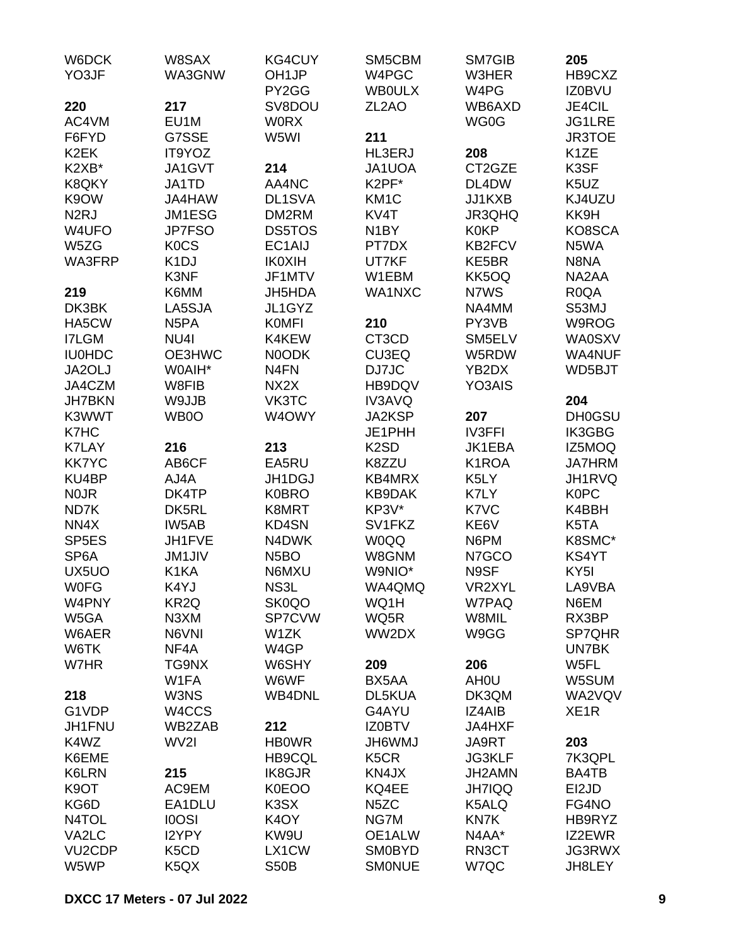| W6DCK<br>YO3JF      | W8SAX<br>WA3GNW               | <b>KG4CUY</b><br>OH <sub>1JP</sub> | SM5CBM<br>W4PGC    | SM7GIB<br>W3HER          | 205<br>HB9CXZ     |
|---------------------|-------------------------------|------------------------------------|--------------------|--------------------------|-------------------|
|                     |                               | PY2GG                              | <b>WBOULX</b>      | W4PG                     | <b>IZ0BVU</b>     |
| 220                 | 217                           | SV8DOU                             | ZL <sub>2</sub> AO | WB6AXD                   | JE4CIL            |
| AC4VM               | EU1M                          | <b>WORX</b>                        |                    | WG0G                     | <b>JG1LRE</b>     |
| F6FYD               | G7SSE                         | W5WI                               | 211                |                          | <b>JR3TOE</b>     |
| K <sub>2</sub> EK   | IT9YOZ                        |                                    | <b>HL3ERJ</b>      | 208                      | K <sub>1</sub> ZE |
| K2XB*               | JA1GVT                        | 214                                | JA1UOA             | CT2GZE                   | K3SF              |
| K8QKY               | JA1TD                         | AA4NC                              | K2PF*              | DL4DW                    | K5UZ              |
| K9OW                | JA4HAW                        | DL1SVA                             | KM <sub>1</sub> C  | JJ1KXB                   | KJ4UZU            |
| N <sub>2</sub> RJ   | JM1ESG                        | DM2RM                              | KV4T               | JR3QHQ                   | KK9H              |
| W4UFO               | <b>JP7FSO</b>                 | <b>DS5TOS</b>                      | N <sub>1</sub> BY  | <b>K0KP</b>              | KO8SCA            |
| W5ZG                | K <sub>0</sub> C <sub>S</sub> | EC1AIJ                             | PT7DX              | <b>KB2FCV</b>            | N5WA              |
| WA3FRP              | K <sub>1</sub> DJ             | <b>IK0XIH</b>                      | UT7KF              | KE5BR                    | N8NA              |
|                     | K3NF                          | JF1MTV                             | W1EBM              | KK5OQ                    | NA2AA             |
| 219                 | K6MM                          | <b>JH5HDA</b>                      | WA1NXC             | N7WS                     | R <sub>0</sub> QA |
| DK3BK               | LA5SJA                        | JL1GYZ                             |                    | NA4MM                    | S53MJ             |
| HA5CW               | N <sub>5</sub> PA             | <b>KOMFI</b>                       | 210                | PY3VB                    | W9ROG             |
| <b>I7LGM</b>        |                               |                                    | CT3CD              | SM5ELV                   | <b>WA0SXV</b>     |
|                     | NU <sub>4</sub>               | K4KEW                              |                    |                          |                   |
| <b>IU0HDC</b>       | OE3HWC                        | <b>NOODK</b>                       | <b>CU3EQ</b>       | W5RDW                    | WA4NUF            |
| JA2OLJ              | W0AIH*                        | N <sub>4</sub> FN                  | DJ7JC              | YB2DX                    | WD5BJT            |
| JA4CZM              | W8FIB                         | NX <sub>2</sub> X                  | HB9DQV             | YO3AIS                   |                   |
| <b>JH7BKN</b>       | W9JJB                         | VK3TC                              | <b>IV3AVQ</b>      |                          | 204               |
| K3WWT               | WB0O                          | W4OWY                              | <b>JA2KSP</b>      | 207                      | <b>DH0GSU</b>     |
| K7HC                |                               |                                    | JE1PHH             | <b>IV3FFI</b>            | <b>IK3GBG</b>     |
| <b>K7LAY</b>        | 216                           | 213                                | K <sub>2</sub> SD  | JK1EBA                   | IZ5MOQ            |
| <b>KK7YC</b>        | AB6CF                         | EA5RU                              | K8ZZU              | K1ROA                    | <b>JA7HRM</b>     |
| KU4BP               | AJ4A                          | JH1DGJ                             | KB4MRX             | K5LY                     | JH1RVQ            |
| N <sub>0</sub> JR   | DK4TP                         | <b>K0BRO</b>                       | <b>KB9DAK</b>      | K7LY                     | <b>K0PC</b>       |
| ND7K                | DK5RL                         | K8MRT                              | KP3V*              | K7VC                     | K4BBH             |
| NN4X                | IW5AB                         | <b>KD4SN</b>                       | SV1FKZ             | KE6V                     | K5TA              |
| SP <sub>5E</sub> S  | JH1FVE                        | N4DWK                              | <b>W0QQ</b>        | N6PM                     | K8SMC*            |
| SP <sub>6</sub> A   | <b>JM1JIV</b>                 | N <sub>5</sub> BO                  | W8GNM              | N7GCO                    | KS4YT             |
| UX5UO               | K1KA                          | N6MXU                              | W9NIO*<br>WA4QMQ   | N9SF                     | KY <sub>5I</sub>  |
| <b>WOFG</b>         | K4YJ                          | NS3L                               |                    | VR2XYL                   | LA9VBA            |
| W4PNY               | KR2Q                          | SK0QO                              | WQ1H               | W7PAQ                    | N6EM<br>RX3BP     |
| W5GA                | N3XM<br>N6VNI                 | SP7CVW                             | WQ5R               | W8MIL                    |                   |
| W6AER<br>W6TK       | NF4A                          | W1ZK<br>W4GP                       | WW2DX              | W9GG                     | SP7QHR<br>UN7BK   |
| W7HR                |                               |                                    |                    |                          | W5FL              |
|                     | TG9NX<br>W1FA                 | W6SHY<br>W6WF                      | 209<br>BX5AA       | 206<br>AH <sub>0</sub> U | W5SUM             |
| 218                 | W3NS                          | <b>WB4DNL</b>                      | DL5KUA             | DK3QM                    | WA2VQV            |
| G1VDP               | W4CCS                         |                                    | G4AYU              | IZ4AIB                   | XE <sub>1</sub> R |
| JH1FNU              | WB2ZAB                        | 212                                | <b>IZ0BTV</b>      | JA4HXF                   |                   |
| K4WZ                | WV2I                          | <b>HB0WR</b>                       | <b>JH6WMJ</b>      | JA9RT                    | 203               |
| K6EME               |                               | <b>HB9CQL</b>                      | K <sub>5</sub> CR  | <b>JG3KLF</b>            | 7K3QPL            |
| <b>K6LRN</b>        | 215                           | <b>IK8GJR</b>                      | KN4JX              | JH2AMN                   | BA4TB             |
| K <sub>9</sub> OT   | AC9EM                         | <b>K0EOO</b>                       | KQ4EE              | <b>JH7IQQ</b>            | EI2JD             |
|                     |                               |                                    |                    |                          |                   |
| KG6D                | EA1DLU                        | K <sub>3</sub> SX                  | N <sub>5</sub> ZC  | K5ALQ                    | FG4NO             |
| N4TOL               | <b>IOOSI</b>                  | K <sub>4</sub> OY                  | NG7M               | KN7K                     | HB9RYZ            |
| VA2LC               | I2YPY                         | KW9U                               | OE1ALW             | N4AA*                    | IZ2EWR            |
| VU <sub>2</sub> CDP | K5CD                          | LX1CW                              | <b>SM0BYD</b>      | RN3CT                    | <b>JG3RWX</b>     |
| W5WP                | K5QX                          | <b>S50B</b>                        | <b>SMONUE</b>      | W7QC                     | JH8LEY            |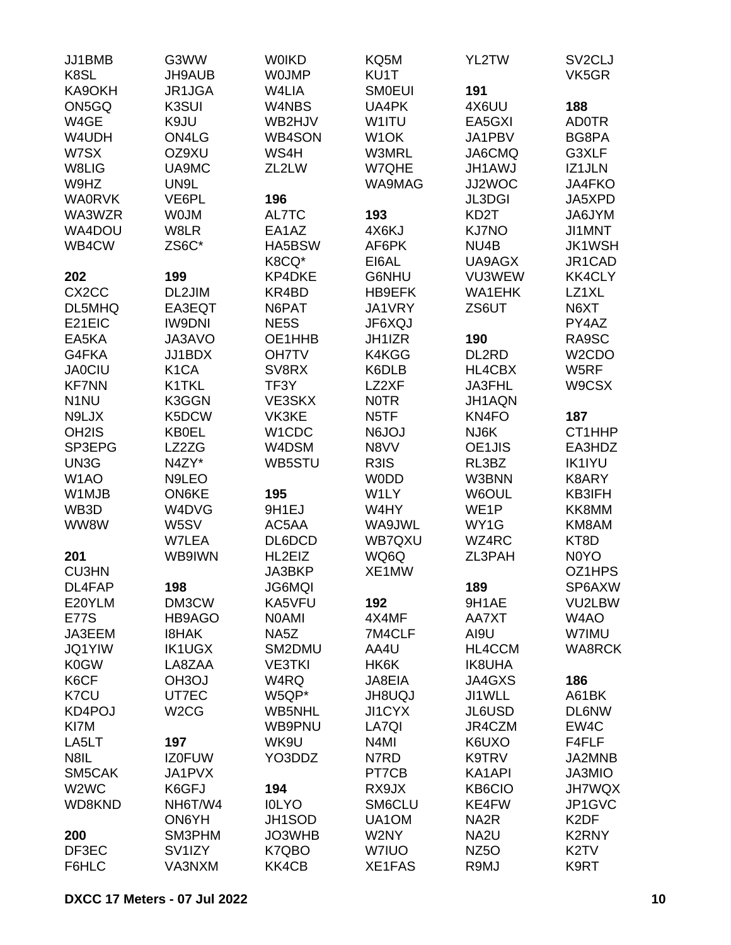| JJ1BMB<br>K8SL                | G3WW<br>JH9AUB      | <b>WOIKD</b><br><b>WOJMP</b> | KQ5M<br>KU1T      | YL2TW             | SV <sub>2</sub> CLJ<br>VK5GR |
|-------------------------------|---------------------|------------------------------|-------------------|-------------------|------------------------------|
| KA9OKH                        | JR1JGA              | W4LIA                        | <b>SMOEUI</b>     | 191               |                              |
| ON5GQ                         | K3SUI               | W4NBS                        | UA4PK             | 4X6UU             | 188                          |
| W4GE                          | K9JU                | WB2HJV                       | W1ITU             | EA5GXI            | <b>AD0TR</b>                 |
| W4UDH                         | ON4LG               | <b>WB4SON</b>                | W <sub>1</sub> OK | JA1PBV            | BG8PA                        |
|                               |                     |                              |                   |                   |                              |
| W7SX                          | OZ9XU               | WS4H                         | W3MRL             | JA6CMQ            | G3XLF                        |
| W8LIG                         | UA9MC               | ZL2LW                        | W7QHE             | <b>JH1AWJ</b>     | IZ1JLN                       |
| W9HZ                          | UN9L                |                              | WA9MAG            | JJ2WOC            | JA4FKO                       |
| <b>WA0RVK</b>                 | VE6PL               | 196                          |                   | <b>JL3DGI</b>     | JA5XPD                       |
| WA3WZR                        | <b>WOJM</b>         | AL7TC                        | 193               | KD <sub>2</sub> T | JA6JYM                       |
| WA4DOU                        | W8LR                | EA1AZ                        | 4X6KJ             | <b>KJ7NO</b>      | JI1MNT                       |
| WB4CW                         | ZS6C*               | HA5BSW                       | AF6PK             | NU4B              | <b>JK1WSH</b>                |
|                               |                     | K8CQ*                        | EI6AL             | UA9AGX            | JR1CAD                       |
| 202                           | 199                 | KP4DKE                       | G6NHU             | VU3WEW            | <b>KK4CLY</b>                |
| CX <sub>2</sub> CC            | DL2JIM              | KR4BD                        | <b>HB9EFK</b>     | <b>WA1EHK</b>     | LZ1XL                        |
| DL5MHQ                        | EA3EQT              | N6PAT                        | JA1VRY            | ZS6UT             | N6XT                         |
| E21EIC                        | <b>IW9DNI</b>       | NE <sub>5</sub> S            | JF6XQJ            |                   | PY4AZ                        |
| EA5KA                         | JA3AVO              | OE1HHB                       | JH1IZR            | 190               | RA9SC                        |
| G4FKA                         | JJ1BDX              | <b>OH7TV</b>                 | K4KGG             | DL2RD             | W <sub>2</sub> CDO           |
| <b>JA0CIU</b>                 | K <sub>1</sub> CA   | SV8RX                        | K6DLB             | HL4CBX            | W5RF                         |
| <b>KF7NN</b>                  | K1TKL               | TF3Y                         | LZ2XF             | JA3FHL            | W9CSX                        |
| N <sub>1</sub> NU             | K3GGN               | VE3SKX                       | <b>NOTR</b>       | JH1AQN            |                              |
| N9LJX                         | K5DCW               | VK3KE                        | N <sub>5</sub> TF | KN4FO             | 187                          |
| OH <sub>2</sub> IS            | <b>KB0EL</b>        | W1CDC                        | <b>N6JOJ</b>      | NJ6K              | CT1HHP                       |
| SP3EPG                        | LZ2ZG               | W4DSM                        | N8VV              | OE1JIS            | EA3HDZ                       |
| UN3G                          | N4ZY*               | WB5STU                       | R3IS              | RL3BZ             | <b>IK1IYU</b>                |
| W <sub>1</sub> AO             | N9LEO               |                              | <b>WODD</b>       | W3BNN             | K8ARY                        |
|                               | ON6KE               | 195                          | W1LY              | W6OUL             | KB3IFH                       |
| W1MJB                         |                     | 9H1EJ                        |                   |                   | KK8MM                        |
| WB3D                          | W4DVG               |                              | W4HY              | WE <sub>1</sub> P |                              |
| WW8W                          | W5SV                | AC5AA                        | WA9JWL            | WY1G              | KM8AM                        |
|                               | W7LEA               | DL6DCD                       | <b>WB7QXU</b>     | WZ4RC             | KT8D                         |
| 201                           | WB9IWN              | HL2EIZ                       | WQ6Q              | ZL3PAH            | N0YO                         |
| <b>CU3HN</b>                  |                     | JA3BKP                       | XE1MW             |                   | OZ1HPS                       |
| DL4FAP                        | 198                 | <b>JG6MQI</b>                |                   | 189               | SP6AXW                       |
| E20YLM                        | DM3CW               | KA5VFU                       | 192               | 9H1AE             | VU2LBW                       |
| <b>E77S</b>                   | HB9AGO              | <b>NOAMI</b>                 | 4X4MF             | AA7XT             | W <sub>4</sub> AO            |
| JA3EEM                        | <b>I8HAK</b>        | NA <sub>5</sub> Z            | 7M4CLF            | AI9U              | W7IMU                        |
| <b>JQ1YIW</b>                 | <b>IK1UGX</b>       | SM2DMU                       | AA4U              | HL4CCM            | <b>WA8RCK</b>                |
| <b>K0GW</b>                   | LA8ZAA              | <b>VE3TKI</b>                | HK6K              | <b>IK8UHA</b>     |                              |
| K6CF                          | OH <sub>3</sub> OJ  | W4RQ                         | JA8EIA            | JA4GXS            | 186                          |
| K7CU                          | UT7EC               | W5QP*                        | <b>UQUBHL</b>     | JI1WLL            | A61BK                        |
| KD4POJ                        | W <sub>2</sub> CG   | WB5NHL                       | <b>JI1CYX</b>     | <b>JL6USD</b>     | <b>DL6NW</b>                 |
| KI7M                          |                     | WB9PNU                       | LA7QI             | JR4CZM            | EW4C                         |
| LA5LT                         | 197                 | WK9U                         | N4MI              | K6UXO             | F4FLF                        |
| N8IL                          | <b>IZ0FUW</b>       | YO3DDZ                       | N7RD              | K9TRV             | JA2MNB                       |
| SM5CAK                        | JA1PVX              |                              | PT7CB             | KA1API            | JA3MIO                       |
| W <sub>2</sub> W <sub>C</sub> | K6GFJ               | 194                          | RX9JX             | <b>KB6CIO</b>     | <b>JH7WQX</b>                |
| WD8KND                        | NH6T/W4             | <b>IOLYO</b>                 | SM6CLU            | KE4FW             | JP1GVC                       |
|                               | ON6YH               | JH1SOD                       | UA1OM             | NA <sub>2</sub> R | K <sub>2</sub> DF            |
| 200                           | SM3PHM              | JO3WHB                       | W2NY              | NA <sub>2U</sub>  | K2RNY                        |
| DF3EC                         | SV <sub>1</sub> IZY | K7QBO                        | W7IUO             | NZ <sub>50</sub>  | K <sub>2</sub> TV            |
| F6HLC                         | VA3NXM              | KK4CB                        | XE1FAS            | R9MJ              | K9RT                         |
|                               |                     |                              |                   |                   |                              |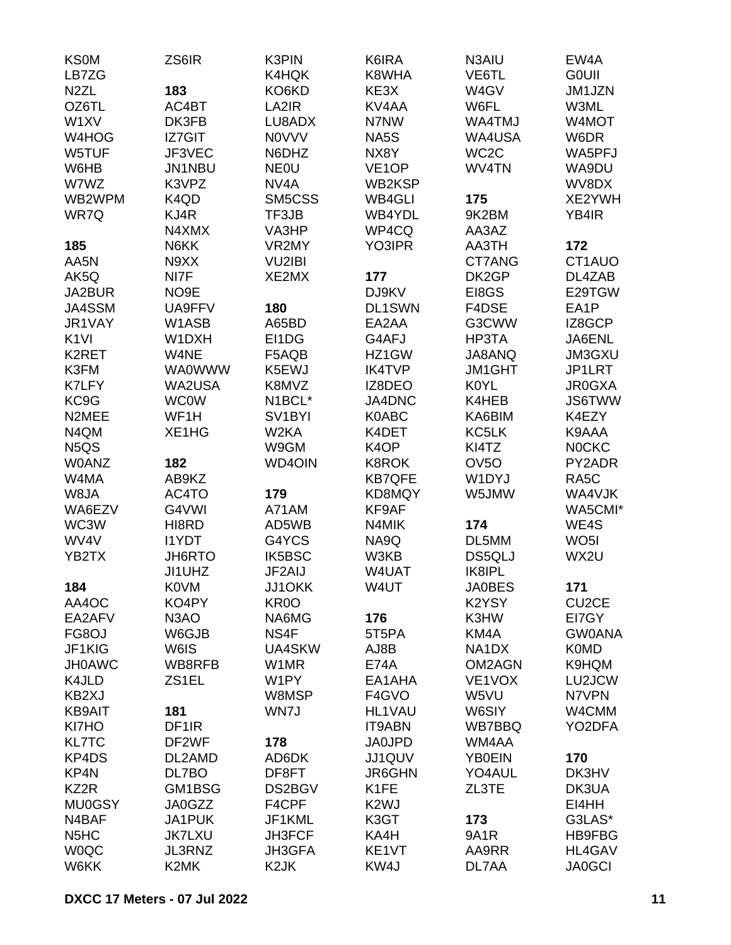| <b>KS0M</b>                   | ZS6IR              | K3PIN               | K6IRA              | N3AIU             | EW4A               |
|-------------------------------|--------------------|---------------------|--------------------|-------------------|--------------------|
| LB7ZG                         |                    | K4HQK               | K8WHA              | VE6TL             | <b>GOUII</b>       |
| N <sub>2</sub> ZL             | 183                | KO6KD               | KE3X               | W4GV              | JM1JZN             |
| OZ6TL                         | AC4BT              | LA2IR               | KV4AA              | W6FL              | W3ML               |
| W1XV                          | DK3FB              | LU8ADX              | N7NW               | WA4TMJ            | W4MOT              |
| W4HOG                         | <b>IZ7GIT</b>      | <b>NOVVV</b>        | NA5S               | WA4USA            | W6DR               |
| W5TUF                         | JF3VEC             | N6DHZ               | NX8Y               | WC <sub>2</sub> C | WA5PFJ             |
| W6HB                          | <b>JN1NBU</b>      | <b>NEOU</b>         | VE <sub>1</sub> OP | WV4TN             | WA9DU              |
| W7WZ                          | K3VPZ              | NV <sub>4</sub> A   | WB2KSP             |                   | WV8DX              |
| WB2WPM                        | K4QD               | SM5CSS              | <b>WB4GLI</b>      | 175               | XE2YWH             |
| WR7Q                          | KJ4R               | TF3JB               | WB4YDL             | 9K2BM             | YB4IR              |
|                               | N4XMX              | VA3HP               | WP4CQ              | AA3AZ             |                    |
| 185                           | N6KK               | VR2MY               | YO3IPR             | AA3TH             | 172                |
| AA5N                          | N9XX               | <b>VU2IBI</b>       |                    | CT7ANG            | CT1AUO             |
| AK5Q                          | NI7F               | XE2MX               | 177                | DK2GP             | DL4ZAB             |
| JA2BUR                        | NO <sub>9</sub> E  |                     | DJ9KV              | EI8GS             | E29TGW             |
| JA4SSM                        | UA9FFV             | 180                 | DL1SWN             | F4DSE             | EA1P               |
| JR1VAY                        | W1ASB              | A65BD               | EA2AA              | G3CWW             | IZ8GCP             |
| K <sub>1VI</sub>              | W1DXH              | EI1DG               | G4AFJ              | HP3TA             | JA6ENL             |
| K2RET                         | W4NE               | F5AQB               | HZ1GW              | JA8ANQ            | JM3GXU             |
| K3FM                          | <b>WA0WWW</b>      | K5EWJ               | <b>IK4TVP</b>      | <b>JM1GHT</b>     | JP1LRT             |
| <b>K7LFY</b>                  | WA2USA             | K8MVZ               | IZ8DEO             | K0YL              | <b>JR0GXA</b>      |
| KC9G                          | <b>WC0W</b>        | N1BCL*              | JA4DNC             | K4HEB             | <b>JS6TWW</b>      |
| N2MEE                         | WF1H               | SV <sub>1</sub> BYI | <b>K0ABC</b>       | KA6BIM            | K4EZY              |
| N4QM                          |                    | W <sub>2</sub> KA   |                    |                   | K9AAA              |
|                               | XE1HG              |                     | K4DET              | KC5LK             |                    |
| N <sub>5</sub> Q <sub>S</sub> |                    | W9GM                | K <sub>4</sub> OP  | KI4TZ             | <b>NOCKC</b>       |
| <b>W0ANZ</b>                  | 182                | <b>WD4OIN</b>       | <b>K8ROK</b>       | OV <sub>5</sub> O | PY2ADR             |
| W4MA                          | AB9KZ              |                     | <b>KB7QFE</b>      | W1DYJ             | RA5C               |
| W8JA                          | AC4TO              | 179                 | KD8MQY             | W5JMW             | WA4VJK             |
| WA6EZV                        | G4VWI              | A71AM               | KF9AF              |                   | WA5CMI*            |
| WC3W                          | HI8RD              | AD5WB               | N4MIK              | 174               | WE4S               |
| WV4V                          | <b>I1YDT</b>       | G4YCS               | NA9Q               | DL5MM             | WO <sub>5</sub> I  |
| YB2TX                         | JH6RTO             | IK5BSC              | W3KB               | DS5QLJ            | WX2U               |
|                               | JI1UHZ             | JF2AIJ              | W4UAT              | <b>IK8IPL</b>     |                    |
| 184                           | <b>K0VM</b>        | JJ1OKK              | W4UT               | <b>JA0BES</b>     | 171                |
| AA4OC                         | KO4PY              | KR <sub>0</sub> O   |                    | K2YSY             | CU <sub>2</sub> CE |
| EA2AFV                        | N <sub>3</sub> AO  | NA6MG               | 176                | K3HW              | EI7GY              |
| FG8OJ                         | W6GJB              | NS4F                | 5T5PA              | KM4A              | <b>GW0ANA</b>      |
| JF1KIG                        | W6IS               | UA4SKW              | AJ8B               | NA1DX             | <b>K0MD</b>        |
| <b>JH0AWC</b>                 | WB8RFB             | W1MR                | <b>E74A</b>        | OM2AGN            | K9HQM              |
| K4JLD                         | ZS1EL              | W1PY                | EA1AHA             | VE1VOX            | LU2JCW             |
| KB2XJ                         |                    | W8MSP               | F4GVO              | W5VU              | N7VPN              |
| <b>KB9AIT</b>                 | 181                | WN7J                | <b>HL1VAU</b>      | W6SIY             | W4CMM              |
| KI7HO                         | DF <sub>1</sub> IR |                     | <b>IT9ABN</b>      | WB7BBQ            | YO2DFA             |
| <b>KL7TC</b>                  | DF2WF              | 178                 | <b>JA0JPD</b>      | WM4AA             |                    |
| KP4DS                         | DL2AMD             | AD6DK               | JJ1QUV             | <b>YB0EIN</b>     | 170                |
| KP4N                          | DL7BO              | DF8FT               | <b>JR6GHN</b>      | YO4AUL            | DK3HV              |
| KZ2R                          | GM1BSG             | DS2BGV              | K <sub>1</sub> FE  | ZL3TE             | DK3UA              |
| <b>MU0GSY</b>                 | JA0GZZ             | F4CPF               | K <sub>2</sub> WJ  |                   | EI4HH              |
| N4BAF                         | JA1PUK             | JF1KML              | K3GT               | 173               | G3LAS*             |
| N <sub>5</sub> H <sub>C</sub> | <b>JK7LXU</b>      | JH3FCF              | KA4H               | 9A1R              | <b>HB9FBG</b>      |
| <b>WOQC</b>                   | JL3RNZ             | JH3GFA              | KE1VT              | AA9RR             | HL4GAV             |
| W6KK                          | K2MK               | K <sub>2</sub> JK   | KW4J               | DL7AA             | <b>JA0GCI</b>      |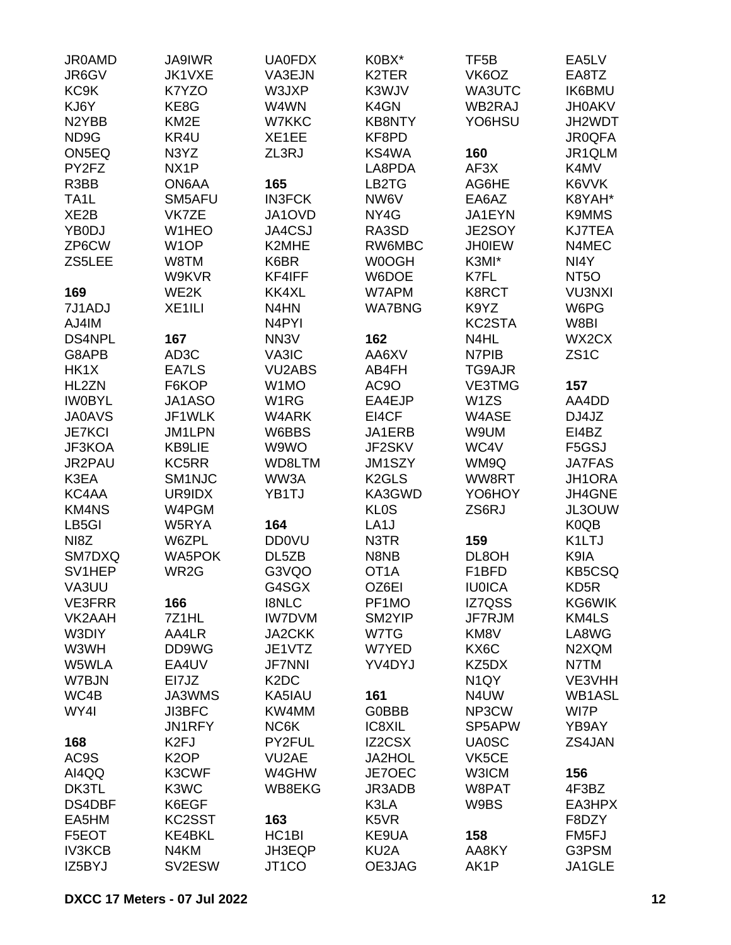| <b>JR0AMD</b>      | <b>JA9IWR</b>      | <b>UA0FDX</b>                 | K0BX*                         | TF <sub>5</sub> B | EA5LV                         |
|--------------------|--------------------|-------------------------------|-------------------------------|-------------------|-------------------------------|
| JR6GV              | JK1VXE             | VA3EJN                        | K2TER                         | VK6OZ             | EA8TZ                         |
| KC9K               | K7YZO              | W3JXP                         | K3WJV                         | WA3UTC            | <b>IK6BMU</b>                 |
| KJ6Y               | KE8G               | W4WN                          | K4GN                          | WB2RAJ            | <b>JH0AKV</b>                 |
| N <sub>2</sub> YBB | KM <sub>2</sub> E  | W7KKC                         | <b>KB8NTY</b>                 | YO6HSU            | JH2WDT                        |
| ND9G               | KR4U               | XE1EE                         | KF8PD                         |                   | <b>JR0QFA</b>                 |
| ON5EQ              | N3YZ               | ZL3RJ                         | KS4WA                         | 160               | JR1QLM                        |
| PY2FZ              | NX <sub>1</sub> P  |                               | LA8PDA                        | AF3X              | K4MV                          |
| R3BB               | ON6AA              | 165                           | LB2TG                         | AG6HE             | K6VVK                         |
| TA <sub>1</sub> L  | SM5AFU             | <b>IN3FCK</b>                 | NW6V                          | EA6AZ             | K8YAH*                        |
| XE <sub>2</sub> B  | VK7ZE              | JA1OVD                        | NY4G                          | JA1EYN            | <b>K9MMS</b>                  |
| YB0DJ              | W1HEO              | <b>JA4CSJ</b>                 | RA3SD                         | JE2SOY            | <b>KJ7TEA</b>                 |
|                    |                    |                               |                               |                   |                               |
| ZP6CW              | W <sub>1</sub> OP  | K2MHE                         | RW6MBC                        | <b>JH0IEW</b>     | N4MEC                         |
| ZS5LEE             | W8TM               | K6BR                          | <b>W0OGH</b>                  | K3MI*             | NI4Y                          |
|                    | W9KVR              | KF4IFF                        | W6DOE                         | K7FL              | NT <sub>50</sub>              |
| 169                | WE2K               | KK4XL                         | W7APM                         | K8RCT             | <b>VU3NXI</b>                 |
| 7J1ADJ             | XE <sub>1ILI</sub> | N4HN                          | <b>WA7BNG</b>                 | K9YZ              | W6PG                          |
| AJ4IM              |                    | N <sub>4</sub> PYI            |                               | KC2STA            | W8BI                          |
| <b>DS4NPL</b>      | 167                | NN <sub>3</sub> V             | 162                           | N4HL              | WX2CX                         |
| G8APB              | AD <sub>3</sub> C  | VA3IC                         | AA6XV                         | N7PIB             | ZS <sub>1</sub> C             |
| HK1X               | EA7LS              | <b>VU2ABS</b>                 | AB4FH                         | TG9AJR            |                               |
| HL2ZN              | F6KOP              | W1MO                          | AC <sub>9</sub> O             | <b>VE3TMG</b>     | 157                           |
| <b>IW0BYL</b>      | JA1ASO             | W1RG                          | EA4EJP                        | W1ZS              | AA4DD                         |
| <b>JA0AVS</b>      | JF1WLK             | W4ARK                         | EI4CF                         | W4ASE             | DJ4JZ                         |
| <b>JE7KCI</b>      | JM1LPN             | W6BBS                         | JA1ERB                        | W9UM              | EI4BZ                         |
| JF3KOA             | <b>KB9LIE</b>      | W9WO                          | JF2SKV                        | WC4V              | F5GSJ                         |
| JR2PAU             | KC5RR              | WD8LTM                        | JM1SZY                        | WM9Q              | <b>JA7FAS</b>                 |
| K3EA               | SM1NJC             | WW3A                          | K <sub>2</sub> GLS            | WW8RT             | JH1ORA                        |
| KC4AA              | UR9IDX             | YB1TJ                         | KA3GWD                        | YO6HOY            | JH4GNE                        |
| <b>KM4NS</b>       | W4PGM              |                               | <b>KLOS</b>                   | ZS6RJ             | JL3OUW                        |
| LB5GI              | W5RYA              | 164                           | LA <sub>1</sub> J             |                   | K <sub>0</sub> Q <sub>B</sub> |
| NI8Z               | W6ZPL              | <b>DD0VU</b>                  | N3TR                          | 159               | K1LTJ                         |
| SM7DXQ             | <b>WA5POK</b>      | DL5ZB                         | N8NB                          | DL8OH             | K9IA                          |
| SV1HEP             | WR2G               | G3VQO                         | OT <sub>1</sub> A             | F1BFD             | <b>KB5CSQ</b>                 |
| VA3UU              |                    | G4SGX                         | OZ6EI                         | <b>IU0ICA</b>     | KD <sub>5</sub> R             |
| <b>VE3FRR</b>      | 166                | <b>I8NLC</b>                  | PF1MO                         | IZ7QSS            | KG6WIK                        |
| VK2AAH             | 7Z1HL              | <b>IW7DVM</b>                 | SM2YIP                        | JF7RJM            | KM4LS                         |
|                    |                    |                               |                               |                   |                               |
| W3DIY              | AA4LR              | <b>JA2CKK</b>                 | W7TG                          | KM8V<br>KX6C      | LA8WG                         |
| W3WH               | DD9WG              | JE1VTZ                        | W7YED                         |                   | N2XQM                         |
| W5WLA              | EA4UV              | <b>JF7NNI</b>                 | YV4DYJ                        | KZ5DX             | N7TM                          |
| W7BJN              | EI7JZ              | K <sub>2</sub> D <sub>C</sub> |                               | N <sub>1</sub> QY | VE3VHH                        |
| WC4B               | JA3WMS             | KA5IAU                        | 161                           | N4UW              | WB1ASL                        |
| WY4I               | <b>JI3BFC</b>      | KW4MM                         | G0BBB                         | NP3CW             | WI7P                          |
|                    | JN1RFY             | NC6K                          | IC8XIL                        | SP5APW            | YB9AY                         |
| 168                | K <sub>2FJ</sub>   | PY2FUL                        | IZ2CSX                        | <b>UA0SC</b>      | ZS4JAN                        |
| AC9S               | K <sub>2</sub> OP  | VU2AE                         | <b>JA2HOL</b>                 | VK5CE             |                               |
| AI4QQ              | K3CWF              | W4GHW                         | JE7OEC                        | W3ICM             | 156                           |
| DK3TL              | K3WC               | WB8EKG                        | JR3ADB                        | W8PAT             | 4F3BZ                         |
| DS4DBF             | K6EGF              |                               | K3LA                          | W9BS              | EA3HPX                        |
| EA5HM              | KC2SST             | 163                           | K <sub>5</sub> V <sub>R</sub> |                   | F8DZY                         |
| F5EOT              | KE4BKL             | HC <sub>1</sub> BI            | KE9UA                         | 158               | FM <sub>5FJ</sub>             |
| <b>IV3KCB</b>      | N4KM               | JH3EQP                        | KU <sub>2</sub> A             | AA8KY             | G3PSM                         |
| IZ5BYJ             | SV2ESW             | JT1CO                         | OE3JAG                        | AK1P              | JA1GLE                        |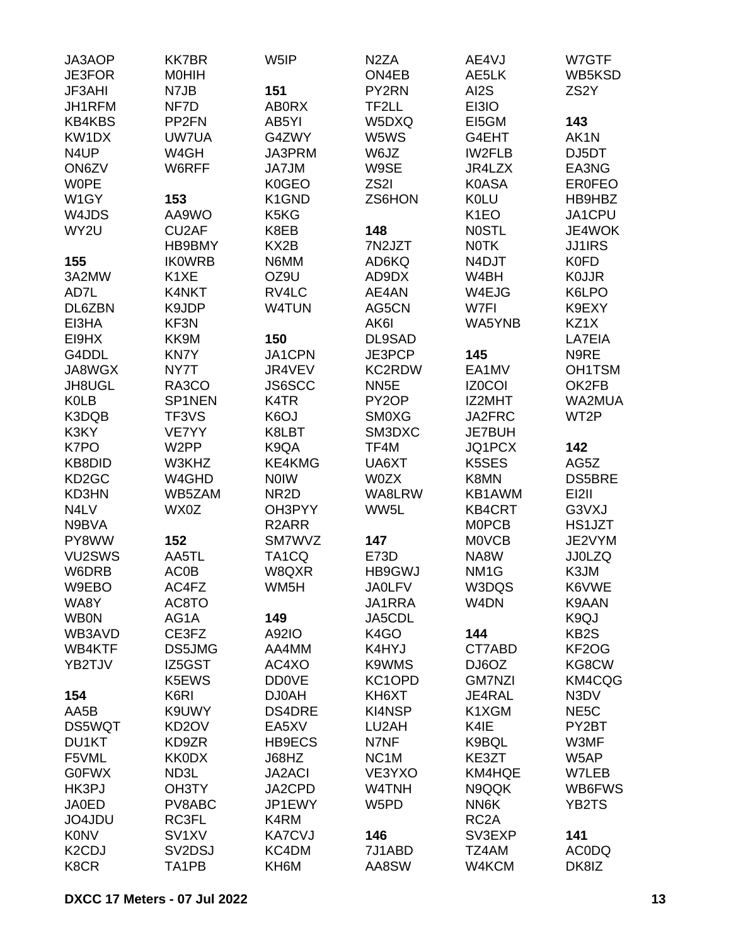| JA3AOP                          | <b>KK7BR</b>                    | W <sub>5</sub> IP  | N <sub>2</sub> ZA | AE4VJ             | W7GTF             |
|---------------------------------|---------------------------------|--------------------|-------------------|-------------------|-------------------|
| <b>JE3FOR</b>                   | <b>MOHIH</b>                    |                    | ON4EB             | AE5LK             | WB5KSD            |
| JF3AHI                          | N7JB                            | 151                | PY2RN             | AI2S              | ZS <sub>2</sub> Y |
| JH1RFM                          | NF7D                            | <b>AB0RX</b>       | TF2LL             | EI3IO             |                   |
| <b>KB4KBS</b>                   | PP <sub>2FN</sub>               | AB5YI              | W5DXQ             | EI5GM             | 143               |
| KW1DX                           | UW7UA                           | G4ZWY              | W5WS              | G4EHT             | AK1N              |
| N <sub>4</sub> UP               | W4GH                            | JA3PRM             | W6JZ              | <b>IW2FLB</b>     | DJ5DT             |
| ON6ZV                           | W6RFF                           | JA7JM              | W9SE              | JR4LZX            | EA3NG             |
| <b>WOPE</b>                     |                                 | K0GEO              | ZS2I              | <b>K0ASA</b>      | <b>ER0FEO</b>     |
| W1GY                            | 153                             | K1GND              | ZS6HON            | <b>K0LU</b>       | HB9HBZ            |
| W4JDS                           | AA9WO                           | K5KG               |                   | K <sub>1</sub> EO | JA1CPU            |
| WY2U                            | CU <sub>2</sub> AF              | K8EB               | 148               | <b>NOSTL</b>      | JE4WOK            |
|                                 | HB9BMY                          | KX <sub>2</sub> B  | 7N2JZT            | <b>NOTK</b>       | <b>JJ1IRS</b>     |
| 155                             | <b>IKOWRB</b>                   | N6MM               | AD6KQ             | N4DJT             | <b>K0FD</b>       |
| 3A2MW                           | K <sub>1</sub> XE               | OZ9U               | AD9DX             | W4BH              | <b>KOJJR</b>      |
| AD7L                            | K4NKT                           | RV4LC              | AE4AN             | W4EJG             | K6LPO             |
| DL6ZBN                          | K9JDP                           | <b>W4TUN</b>       | AG5CN             | W7FI              | K9EXY             |
| EI3HA                           | KF3N                            |                    | AK6I              | WA5YNB            | KZ1X              |
| EI9HX                           | KK9M                            | 150                | DL9SAD            |                   | LA7EIA            |
| G4DDL                           | <b>KN7Y</b>                     | JA1CPN             | JE3PCP            | 145               | N9RE              |
| JA8WGX                          | NY7T                            | JR4VEV             | KC2RDW            | EA1MV             |                   |
|                                 |                                 |                    |                   |                   | <b>OH1TSM</b>     |
| JH8UGL                          | RA3CO                           | <b>JS6SCC</b>      | NN <sub>5</sub> E | <b>IZ0COI</b>     | OK2FB             |
| <b>K0LB</b>                     | SP1NEN                          | K4TR               | PY2OP             | IZ2MHT            | WA2MUA            |
| K3DQB                           | TF3VS                           | K6OJ               | <b>SMOXG</b>      | JA2FRC            | WT <sub>2</sub> P |
| K3KY                            | VE7YY                           | K8LBT              | SM3DXC            | JE7BUH            |                   |
| K7PO                            | W <sub>2</sub> PP               | K9QA               | TF4M              | JQ1PCX            | 142               |
| KB8DID                          | W3KHZ                           | KE4KMG             | UA6XT             | K5SES             | AG5Z              |
| KD <sub>2</sub> GC              | W4GHD                           | <b>NOIW</b>        | <b>W0ZX</b>       | K8MN              | <b>DS5BRE</b>     |
| KD3HN                           | WB5ZAM                          | NR <sub>2</sub> D  | WA8LRW            | KB1AWM            | <b>EI2II</b>      |
| N4LV                            | WX0Z                            | OH3PYY             | WW5L              | <b>KB4CRT</b>     | G3VXJ             |
| N9BVA                           |                                 | R <sub>2</sub> ARR |                   | <b>MOPCB</b>      | HS1JZT            |
| PY8WW                           | 152                             | SM7WVZ             | 147               | <b>MOVCB</b>      | JE2VYM            |
| VU2SWS                          | AA5TL                           | TA <sub>1</sub> CQ | E73D              | NA8W              | <b>JJ0LZQ</b>     |
| W6DRB                           | <b>AC0B</b>                     | W8QXR              | HB9GWJ            | NM <sub>1</sub> G | K3JM              |
| W9EBO                           | AC4FZ                           | WM5H               | <b>JAOLFV</b>     | W3DQS             | K6VWE             |
| WA8Y                            | AC8TO                           |                    | JA1RRA            | W4DN              | K9AAN             |
| <b>WB0N</b>                     | AG1A                            | 149                | JA5CDL            |                   | K9QJ              |
| WB3AVD                          | CE3FZ                           | A92IO              | K4GO              | 144               | KB <sub>2</sub> S |
| WB4KTF                          | DS5JMG                          | AA4MM              | K4HYJ             | CT7ABD            | KF2OG             |
| YB2TJV                          | IZ5GST                          | AC4XO              | K9WMS             | DJ6OZ             | KG8CW             |
|                                 | K5EWS                           | <b>DD0VE</b>       | KC1OPD            | <b>GM7NZI</b>     | KM4CQG            |
| 154                             | K6RI                            | <b>DJ0AH</b>       | KH6XT             | JE4RAL            | N3DV              |
| AA5B                            | K9UWY                           | DS4DRE             | KI4NSP            | K1XGM             | NE <sub>5</sub> C |
| <b>DS5WQT</b>                   | KD <sub>2</sub> OV              | EA5XV              | LU2AH             | K4IE              | PY2BT             |
| DU1KT                           | KD9ZR                           | HB9ECS             | N7NF              | K9BQL             | W3MF              |
| F5VML                           | <b>KK0DX</b>                    | J68HZ              | NC <sub>1</sub> M | KE3ZT             | W5AP              |
| <b>G0FWX</b>                    | ND3L                            | <b>JA2ACI</b>      | VE3YXO            | KM4HQE            | W7LEB             |
| HK3PJ                           | OH3TY                           | JA2CPD             | W4TNH             | N9QQK             | WB6FWS            |
| <b>JA0ED</b>                    | PV8ABC                          | JP1EWY             | W5PD              | NN6K              | YB2TS             |
| JO4JDU                          | RC3FL                           | K4RM               |                   | RC <sub>2</sub> A |                   |
| <b>K0NV</b>                     | SV <sub>1</sub> XV              | <b>KA7CVJ</b>      | 146               | SV3EXP            | 141               |
| K <sub>2</sub> C <sub>D</sub> J | SV <sub>2</sub> D <sub>SJ</sub> | KC4DM              | 7J1ABD            | TZ4AM             | <b>ACODQ</b>      |
| K8CR                            | TA1PB                           | KH6M               | AA8SW             | W4KCM             | DK8IZ             |
|                                 |                                 |                    |                   |                   |                   |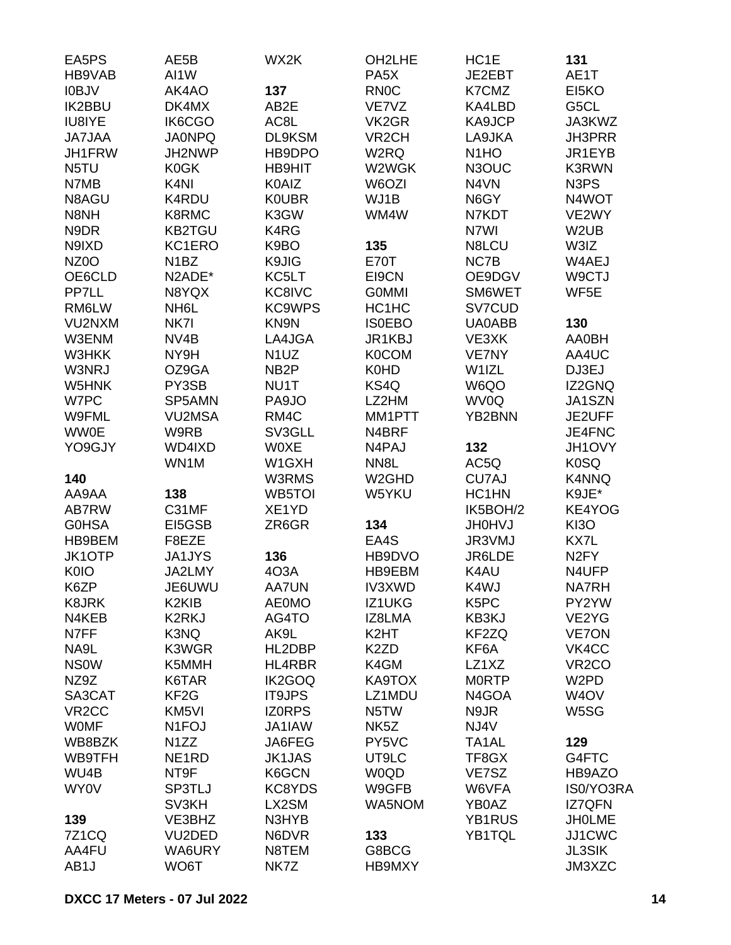| EA5PS              | AE5B               | WX2K              | OH <sub>2</sub> LHE | HC1E               | 131                |
|--------------------|--------------------|-------------------|---------------------|--------------------|--------------------|
| HB9VAB             | AI1W               |                   | PA <sub>5</sub> X   | JE2EBT             | AE1T               |
| I0BJV              | AK4AO              | 137               | <b>RN0C</b>         | K7CMZ              | EI5KO              |
| <b>IK2BBU</b>      | DK4MX              | AB2E              | VE7VZ               | KA4LBD             | G5CL               |
| <b>IU8IYE</b>      | IK6CGO             | AC8L              | VK <sub>2</sub> GR  | KA9JCP             | JA3KWZ             |
| <b>JA7JAA</b>      | <b>JA0NPQ</b>      | DL9KSM            | VR <sub>2</sub> CH  | LA9JKA             | JH3PRR             |
| JH1FRW             | JH2NWP             | HB9DPO            | W <sub>2</sub> RQ   | N <sub>1</sub> HO  | JR1EYB             |
| N <sub>5</sub> TU  | K0GK               | <b>HB9HIT</b>     | W2WGK               | N3OUC              | K3RWN              |
| N7MB               | K <sub>4N</sub>    | K0AIZ             | W6OZI               | N4VN               | N3PS               |
| N8AGU              | K4RDU              | <b>KOUBR</b>      | WJ1B                | N6GY               | N4WOT              |
| N8NH               | K8RMC              | K3GW              | WM4W                | N7KDT              | VE2WY              |
| N9DR               | <b>KB2TGU</b>      | K4RG              |                     | N7WI               | W <sub>2</sub> UB  |
| N9IXD              | KC1ERO             | K9BO              | 135                 | N8LCU              | W3IZ               |
| NZ <sub>0</sub> O  | N <sub>1</sub> BZ  | K9JIG             | <b>E70T</b>         | NC7B               | W4AEJ              |
| OE6CLD             | N2ADE*             | KC5LT             | EI9CN               | OE9DGV             | W9CTJ              |
| PP7LL              | N8YQX              | KC8IVC            | <b>GOMMI</b>        | SM6WET             | WF5E               |
| RM6LW              | NH <sub>6</sub> L  | <b>KC9WPS</b>     | HC1HC               | SV7CUD             |                    |
| VU2NXM             | NK7I               | KN9N              | <b>ISOEBO</b>       | <b>UA0ABB</b>      | 130                |
| W3ENM              | NV4B               | LA4JGA            | JR1KBJ              | VE3XK              | <b>AA0BH</b>       |
| <b>W3HKK</b>       | NY9H               | N <sub>1</sub> UZ | <b>K0COM</b>        | <b>VE7NY</b>       | AA4UC              |
| W3NRJ              | OZ9GA              | NB <sub>2</sub> P | <b>K0HD</b>         | W1IZL              | DJ3EJ              |
| W5HNK              | PY3SB              | NU1T              | KS4Q                | W6QO               | IZ2GNQ             |
| W7PC               | SP5AMN             | PA9JO             | LZ2HM               | WV0Q               | JA1SZN             |
| W9FML              | <b>VU2MSA</b>      | RM4C              | MM1PTT              | YB2BNN             | JE2UFF             |
| <b>WW0E</b>        | W9RB               | SV3GLL            | N4BRF               |                    | JE4FNC             |
| YO9GJY             | WD4IXD             | <b>WOXE</b>       | N4PAJ               | 132                | JH1OVY             |
|                    | WN1M               | W1GXH             | NN8L                | AC5Q               | K0SQ               |
| 140                |                    | W3RMS             | W <sub>2</sub> GHD  | CU7AJ              | K4NNQ              |
| AA9AA              | 138                | WB5TOI            | W5YKU               | HC1HN              | K9JE*              |
| AB7RW              | C31MF              | XE1YD             |                     | IK5BOH/2           | KE4YOG             |
| <b>G0HSA</b>       | EI5GSB             | ZR6GR             | 134                 | <b>JH0HVJ</b>      | KI3O               |
| HB9BEM             | F8EZE              |                   | EA4S                | JR3VMJ             | KX7L               |
| JK1OTP             | <b>JA1JYS</b>      | 136               | HB9DVO              | JR6LDE             | N <sub>2</sub> FY  |
| <b>K0IO</b>        | JA2LMY             | 4O3A              | HB9EBM              | K4AU               | N4UFP              |
| K6ZP               | JE6UWU             | <b>AA7UN</b>      | <b>IV3XWD</b>       | K4WJ               | NA7RH              |
| K8JRK              | K <sub>2</sub> KIB | <b>AE0MO</b>      | IZ1UKG              | K <sub>5</sub> PC  | PY2YW              |
| N4KEB              | K2RKJ              | AG4TO             | IZ8LMA              | KB3KJ              | VE2YG              |
| N7FF               | K3NQ               | AK9L              | K <sub>2</sub> HT   | KF2ZQ              | <b>VE7ON</b>       |
| NA9L               | K3WGR              | HL2DBP            | K <sub>2</sub> ZD   | KF <sub>6</sub> A  | VK4CC              |
| <b>NSOW</b>        | K5MMH              | HL4RBR            | K4GM                | LZ1XZ              | VR <sub>2</sub> CO |
| NZ9Z               | K6TAR              | IK2GOQ            | KA9TOX              | <b>MORTP</b>       | W <sub>2</sub> PD  |
| SA3CAT             | KF <sub>2</sub> G  | <b>IT9JPS</b>     | LZ1MDU              | N4GOA              | W <sub>4</sub> OV  |
| VR <sub>2</sub> CC | KM <sub>5VI</sub>  | <b>IZORPS</b>     | N <sub>5</sub> TW   | N9JR               | W5SG               |
| <b>WOMF</b>        | N <sub>1</sub> FOJ | JA1IAW            | NK <sub>5</sub> Z   | NJ4V               |                    |
| WB8BZK             | N <sub>1</sub> ZZ  | JA6FEG            | PY5VC               | TA <sub>1</sub> AL | 129                |
| WB9TFH             | NE <sub>1</sub> RD | <b>JK1JAS</b>     | UT9LC               | TF8GX              | G4FTC              |
| WU4B               | NT9F               | K6GCN             | W0QD                | VE7SZ              | HB9AZO             |
| WY0V               | SP3TLJ             | KC8YDS            | W9GFB               | W6VFA              | IS0/YO3RA          |
|                    | SV3KH              | LX2SM             | WA5NOM              | YB0AZ              | <b>IZ7QFN</b>      |
| 139                | VE3BHZ             | N3HYB             |                     | YB1RUS             | <b>JHOLME</b>      |
| <b>7Z1CQ</b>       | VU2DED             | N6DVR             | 133                 | YB1TQL             | JJ1CWC             |
| AA4FU              | WA6URY             | N8TEM             | G8BCG               |                    | <b>JL3SIK</b>      |
| AB <sub>1</sub> J  | WO6T               | NK7Z              | HB9MXY              |                    | JM3XZC             |
|                    |                    |                   |                     |                    |                    |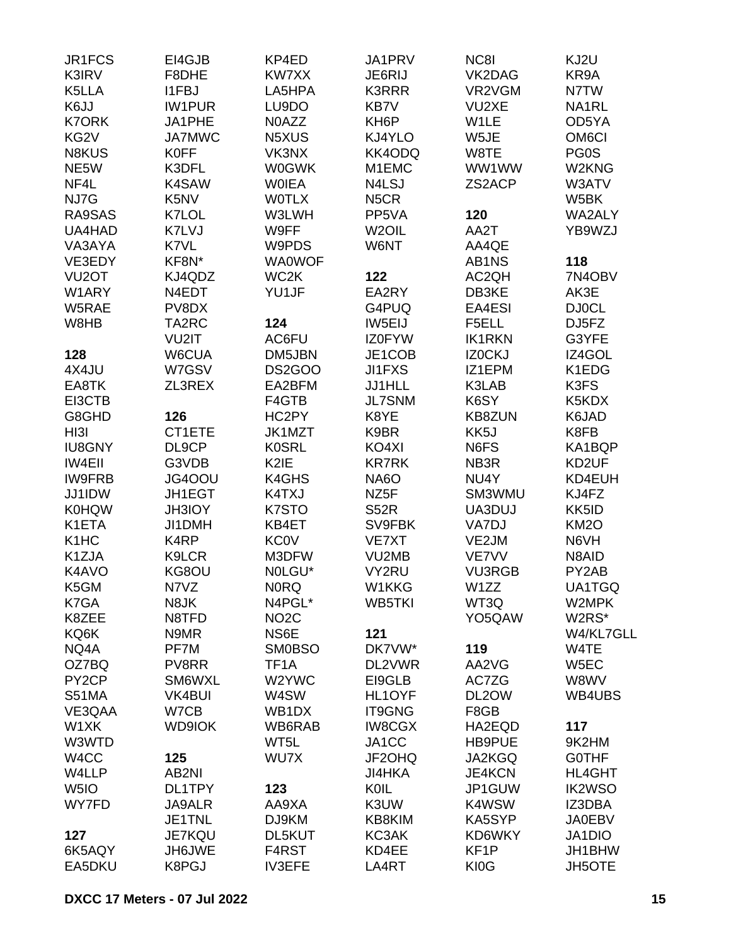| JR1FCS                        | EI4GJB        | KP4ED                          | JA1PRV             | NC8I               | KJ2U                    |
|-------------------------------|---------------|--------------------------------|--------------------|--------------------|-------------------------|
| K3IRV                         | F8DHE         | KW7XX                          | JE6RIJ             | VK2DAG             | KR9A                    |
| K5LLA                         | <b>I1FBJ</b>  | LA5HPA                         | <b>K3RRR</b>       | VR2VGM             | N7TW                    |
| K6JJ                          | <b>IW1PUR</b> | LU9DO                          | KB7V               | VU2XE              | NA1RL                   |
| <b>K7ORK</b>                  | JA1PHE        | N0AZZ                          | KH <sub>6</sub> P  | W1LE               | OD5YA                   |
| KG2V                          | <b>JA7MWC</b> | N5XUS                          | KJ4YLO             | W5JE               | OM <sub>6</sub> CI      |
| N8KUS                         | <b>K0FF</b>   | VK3NX                          | KK4ODQ             | W8TE               | PG0S                    |
| NE5W                          | K3DFL         | <b>W0GWK</b>                   | M1EMC              | WW1WW              | W2KNG                   |
| NF4L                          | K4SAW         | <b>WOIEA</b>                   | N4LSJ              | ZS2ACP             | W3ATV                   |
| NJ7G                          | K5NV          | <b>WOTLX</b>                   | N <sub>5</sub> CR  |                    | W5BK                    |
| RA9SAS                        | K7LOL         | W3LWH                          | PP5VA              | 120                | WA2ALY                  |
| UA4HAD                        | K7LVJ         | W9FF                           | W <sub>2</sub> OIL | AA2T               | YB9WZJ                  |
| VA3AYA                        | K7VL          | W9PDS                          | W6NT               | AA4QE              |                         |
|                               | KF8N*         |                                |                    |                    |                         |
| VE3EDY                        |               | <b>WA0WOF</b>                  |                    | AB1NS              | 118                     |
| VU <sub>2</sub> OT            | KJ4QDZ        | WC2K                           | 122                | AC <sub>2</sub> QH | 7N4OBV                  |
| W1ARY                         | N4EDT         | YU1JF                          | EA2RY              | DB3KE              | AK3E                    |
| W5RAE                         | PV8DX         |                                | G4PUQ              | EA4ESI             | <b>DJ0CL</b>            |
| W8HB                          | TA2RC         | 124                            | IW5EIJ             | F5ELL              | DJ5FZ                   |
|                               | VU2IT         | AC6FU                          | IZ0FYW             | <b>IK1RKN</b>      | G3YFE                   |
| 128                           | W6CUA         | DM5JBN                         | JE1COB             | IZ0CKJ             | IZ4GOL                  |
| 4X4JU                         | W7GSV         | DS2GOO                         | <b>JI1FXS</b>      | IZ1EPM             | K1EDG                   |
| EA8TK                         | ZL3REX        | EA2BFM                         | JJ1HLL             | K3LAB              | K3FS                    |
| EI3CTB                        |               | F4GTB                          | <b>JL7SNM</b>      | K6SY               | K5KDX                   |
| G8GHD                         | 126           | HC2PY                          | K8YE               | <b>KB8ZUN</b>      | K6JAD                   |
| HI3I                          | CT1ETE        | JK1MZT                         | K9BR               | KK5J               | K8FB                    |
| <b>IU8GNY</b>                 | DL9CP         | <b>K0SRL</b>                   | KO4XI              | N6FS               | KA1BQP                  |
| <b>IW4EII</b>                 | G3VDB         | K2IE                           | <b>KR7RK</b>       | NB3R               | KD2UF                   |
| <b>IW9FRB</b>                 | JG4OOU        | K4GHS                          | <b>NA6O</b>        | NU4Y               | KD4EUH                  |
| JJ1IDW                        | JH1EGT        | K4TXJ                          | NZ <sub>5</sub> F  | SM3WMU             | KJ4FZ                   |
| <b>K0HQW</b>                  | JH3IOY        | K7STO                          | <b>S52R</b>        | UA3DUJ             | KK5ID                   |
| K1ETA                         | JI1DMH        | KB4ET                          | SV9FBK             | VA7DJ              | KM <sub>2</sub> O       |
| K <sub>1</sub> H <sub>C</sub> | K4RP          | <b>KC0V</b>                    | VE7XT              | VE2JM              | N6VH                    |
| K1ZJA                         | K9LCR         | M3DFW                          | VU2MB              | VE7VV              | N8AID                   |
| K4AVO                         | KG8OU         | NOLGU*                         | VY2RU              | <b>VU3RGB</b>      | PY2AB                   |
| K5GM                          | N7VZ          | <b>NORQ</b>                    | W1KKG              | W1ZZ               | UA1TGQ                  |
| K7GA                          | N8JK          | N4PGL*                         | WB5TKI             | WT3Q               | W2MPK                   |
| K8ZEE                         | N8TFD         | NO <sub>2</sub> C              |                    | YO5QAW             | W2RS*                   |
| KQ6K                          | N9MR          | NS6E                           | 121                |                    | W4/KL7GLL               |
| NQ4A                          | PF7M          | <b>SM0BSO</b>                  | DK7VW*             | 119                | W4TE                    |
| OZ7BQ                         | PV8RR         | TF <sub>1</sub> A              | DL2VWR             | AA2VG              | W5EC                    |
| PY <sub>2</sub> CP            | SM6WXL        | W2YWC                          | EI9GLB             | AC7ZG              | W8WV                    |
| <b>S51MA</b>                  | <b>VK4BUI</b> | W4SW                           | HL1OYF             | DL2OW              | WB4UBS                  |
| VE3QAA                        | W7CB          | WB <sub>1</sub> D <sub>X</sub> | <b>IT9GNG</b>      | F8GB               |                         |
| W1XK                          | <b>WD9IOK</b> | WB6RAB                         | <b>IW8CGX</b>      | HA2EQD             | 117                     |
| W3WTD                         |               | WT5L                           | JA1CC              | HB9PUE             | 9K2HM                   |
| W <sub>4</sub> CC             | 125           | WU7X                           | JF2OHQ             | JA2KGQ             | <b>GOTHF</b>            |
|                               | AB2NI         |                                | JI4HKA             | <b>JE4KCN</b>      |                         |
| W4LLP                         |               |                                | KOIL               |                    | HL4GHT<br><b>IK2WSO</b> |
| W <sub>5I</sub> O             | DL1TPY        | 123                            |                    | JP1GUW             |                         |
| WY7FD                         | <b>JA9ALR</b> | AA9XA                          | K3UW               | K4WSW              | IZ3DBA                  |
|                               | JE1TNL        | DJ9KM                          | KB8KIM             | KA5SYP             | <b>JA0EBV</b>           |
| 127                           | <b>JE7KQU</b> | DL5KUT                         | KC3AK              | KD6WKY             | JA1DIO                  |
| 6K5AQY                        | JH6JWE        | F4RST                          | KD4EE              | KF <sub>1</sub> P  | JH1BHW                  |
| EA5DKU                        | K8PGJ         | <b>IV3EFE</b>                  | LA4RT              | <b>KI0G</b>        | <b>JH5OTE</b>           |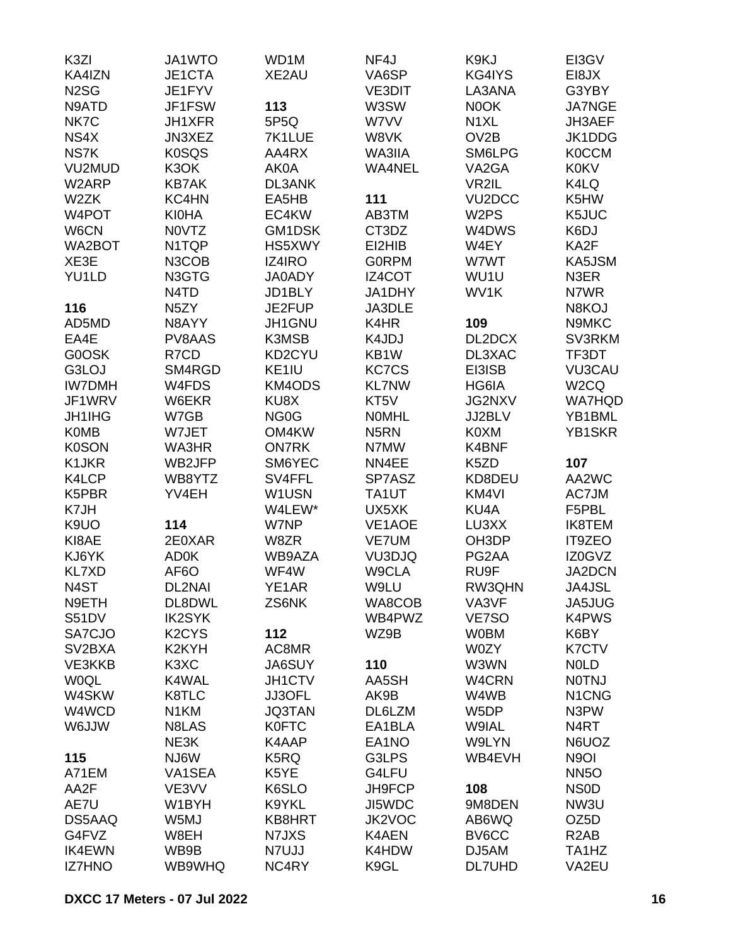| K3ZI                | JA1WTO                         | WD1M              | NF4J              | K9KJ                | EI3GV                          |
|---------------------|--------------------------------|-------------------|-------------------|---------------------|--------------------------------|
| KA4IZN              | JE1CTA                         | XE2AU             | VA6SP             | KG4IYS              | EI8JX                          |
| N <sub>2</sub> SG   | JE1FYV                         |                   | <b>VE3DIT</b>     | LA3ANA              | G3YBY                          |
| N9ATD               | JF1FSW                         | 113               | W3SW              | N0OK                | <b>JA7NGE</b>                  |
| NK7C                | JH1XFR                         | 5P5Q              | W7VV              | N <sub>1</sub> XL   | JH3AEF                         |
| NS4X                | JN3XEZ                         | 7K1LUE            | W8VK              | OV <sub>2</sub> B   | JK1DDG                         |
| NS7K                | <b>K0SQS</b>                   | AA4RX             | WA3IIA            | SM6LPG              | <b>K0CCM</b>                   |
| VU2MUD              | K3OK                           | AK0A              | <b>WA4NEL</b>     | VA2GA               | <b>K0KV</b>                    |
| W2ARP               | <b>KB7AK</b>                   | <b>DL3ANK</b>     |                   | VR2IL               | K4LQ                           |
| W2ZK                | KC4HN                          | EA5HB             | 111               | VU <sub>2</sub> DCC | K5HW                           |
| W4POT               | <b>KI0HA</b>                   | EC4KW             | AB3TM             | W <sub>2</sub> PS   | K5JUC                          |
| W6CN                | N0VTZ                          | GM1DSK            | CT3DZ             | W4DWS               | K6DJ                           |
| WA2BOT              | N <sub>1</sub> TQP             | HS5XWY            | EI2HIB            | W4EY                | KA2F                           |
| XE3E                | N3COB                          | IZ4IRO            | <b>GORPM</b>      | W7WT                | KA5JSM                         |
| YU1LD               | N3GTG                          | <b>JA0ADY</b>     | IZ4COT            | WU1U                | N3ER                           |
|                     | N <sub>4</sub> T <sub>D</sub>  | JD1BLY            | JA1DHY            | WV1K                | N7WR                           |
| 116                 | N <sub>5</sub> ZY              | JE2FUP            | JA3DLE            |                     | N8KOJ                          |
| AD5MD               | N8AYY                          | JH1GNU            | K4HR              | 109                 | N9MKC                          |
| EA4E                | PV8AAS                         | K3MSB             | K4JDJ             | DL2DCX              | SV3RKM                         |
| G0OSK               | R7CD                           | KD2CYU            | KB1W              | DL3XAC              | TF3DT                          |
| G3LOJ               | SM4RGD                         | KE1IU             | <b>KC7CS</b>      | EI3ISB              | <b>VU3CAU</b>                  |
| <b>IW7DMH</b>       | W4FDS                          | <b>KM4ODS</b>     | <b>KL7NW</b>      | HG6IA               | W <sub>2</sub> CQ              |
| JF1WRV              |                                | KU8X              |                   | JG2NXV              | <b>WA7HQD</b>                  |
|                     | W6EKR                          |                   | KT5V              |                     |                                |
| <b>JH1IHG</b>       | W7GB                           | NG <sub>0</sub> G | <b>NOMHL</b>      | JJ2BLV              | YB1BML                         |
| <b>K0MB</b>         | W7JET                          | OM4KW             | N <sub>5</sub> RN | K0XM                | YB1SKR                         |
| <b>K0SON</b>        | WA3HR                          | <b>ON7RK</b>      | N7MW              | K4BNF               |                                |
| K1JKR               | WB2JFP                         | SM6YEC            | NN4EE             | K5ZD                | 107                            |
| K4LCP               | WB8YTZ                         | SV4FFL            | SP7ASZ            | KD8DEU              | AA2WC                          |
| K5PBR               | YV4EH                          | W1USN             | TA1UT             | KM4VI               | AC7JM                          |
| K7JH                |                                | W4LEW*            | UX5XK             | KU4A                | F5PBL                          |
| K9UO                | 114                            | W7NP              | VE1AOE            | LU3XX               | <b>IK8TEM</b>                  |
| KI8AE               | 2E0XAR                         | W8ZR              | VE7UM             | OH3DP               | <b>IT9ZEO</b>                  |
| KJ6YK               | <b>AD0K</b>                    | WB9AZA            | VU3DJQ            | PG2AA               | IZ0GVZ                         |
| <b>KL7XD</b>        | AF6O                           | WF4W              | W9CLA             | RU9F                | JA2DCN                         |
| N4ST                | DL2NAI                         | YE1AR             | W9LU              | RW3QHN              | JA4JSL                         |
| N9ETH               | DL8DWL                         | ZS6NK             | WA8COB            | VA3VF               | JA5JUG                         |
| <b>S51DV</b>        | <b>IK2SYK</b>                  |                   | WB4PWZ            | VE7SO               | <b>K4PWS</b>                   |
| SA7CJO              | K <sub>2</sub> CY <sub>S</sub> | 112               | WZ9B              | <b>W0BM</b>         | K6BY                           |
| SV <sub>2</sub> BXA | K <sub>2</sub> KYH             | AC8MR             |                   | W0ZY                | <b>K7CTV</b>                   |
| VE3KKB              | K <sub>3</sub> X <sub>C</sub>  | <b>JA6SUY</b>     | 110               | W3WN                | <b>NOLD</b>                    |
| <b>WOQL</b>         | K4WAL                          | JH1CTV            | AA5SH             | W4CRN               | <b>NOTNJ</b>                   |
| W4SKW               | K8TLC                          | JJ3OFL            | AK9B              | W4WB                | N <sub>1</sub> C <sub>NG</sub> |
| W4WCD               | N <sub>1</sub> KM              | <b>JQ3TAN</b>     | DL6LZM            | W5DP                | N3PW                           |
| W6JJW               | N8LAS                          | <b>K0FTC</b>      | EA1BLA            | W9IAL               | N <sub>4</sub> RT              |
|                     | NE3K                           | K4AAP             | EA1NO             | W9LYN               | N6UOZ                          |
| 115                 | NJ6W                           | K5RQ              | G3LPS             | WB4EVH              | N <sub>9</sub> OI              |
| A71EM               | VA1SEA                         | K5YE              | G4LFU             |                     | <b>NN5O</b>                    |
| AA2F                | VE3VV                          | K6SLO             | JH9FCP            | 108                 | <b>NSOD</b>                    |
| AE7U                | W1BYH                          | K9YKL             | JI5WDC            | 9M8DEN              | NW3U                           |
| DS5AAQ              | W5MJ                           | KB8HRT            | JK2VOC            | AB6WQ               | OZ <sub>5</sub> D              |
| G4FVZ               | W8EH                           | N7JXS             | K4AEN             | BV6CC               | R <sub>2</sub> AB              |
| <b>IK4EWN</b>       | WB9B                           | N7UJJ             | K4HDW             | DJ5AM               | TA <sub>1</sub> H <sub>Z</sub> |
| <b>IZ7HNO</b>       | WB9WHQ                         | NC4RY             | K9GL              | <b>DL7UHD</b>       | VA2EU                          |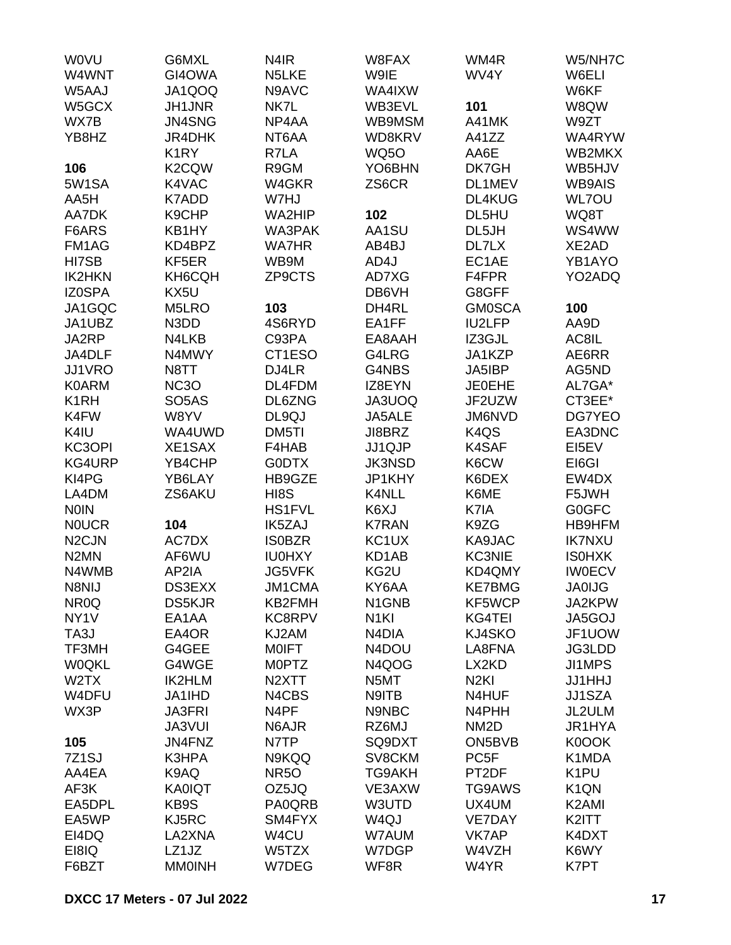| <b>WOVU</b>        | G6MXL              | N <sub>4</sub> IR  | W8FAX              | WM4R                          | W5/NH7C            |
|--------------------|--------------------|--------------------|--------------------|-------------------------------|--------------------|
| W4WNT              | GI4OWA             | N5LKE              | W9IE               | WV4Y                          | W6ELI              |
| W5AAJ              | JA1QOQ             | N9AVC              | WA4IXW             |                               | W6KF               |
| W5GCX              | <b>JH1JNR</b>      | NK7L               | WB3EVL             | 101                           | W8QW               |
| WX7B               | JN4SNG             | NP4AA              | WB9MSM             | A41MK                         | W9ZT               |
| YB8HZ              | <b>JR4DHK</b>      | NT6AA              | WD8KRV             | A41ZZ                         | WA4RYW             |
|                    | K <sub>1</sub> RY  | R7LA               | <b>WQ5O</b>        | AA6E                          | WB2MKX             |
| 106                | K <sub>2</sub> CQW | R9GM               | YO6BHN             | DK7GH                         | WB5HJV             |
| 5W1SA              | K4VAC              | W4GKR              | ZS6CR              | DL1MEV                        | <b>WB9AIS</b>      |
| AA5H               | <b>K7ADD</b>       | W7HJ               |                    | DL4KUG                        | <b>WL7OU</b>       |
| AA7DK              | K9CHP              | WA2HIP             | 102                | DL5HU                         | WQ8T               |
| F6ARS              | KB1HY              | WA3PAK             | AA1SU              | DL5JH                         | WS4WW              |
| FM1AG              | KD4BPZ             | <b>WA7HR</b>       | AB4BJ              | DL7LX                         | XE2AD              |
| HI7SB              | KF5ER              | WB9M               | AD4J               | EC1AE                         | YB1AYO             |
| <b>IK2HKN</b>      | KH6CQH             | ZP9CTS             | AD7XG              | F4FPR                         | YO2ADQ             |
| <b>IZ0SPA</b>      | KX5U               |                    | DB6VH              | G8GFF                         |                    |
| JA1GQC             | M5LRO              | 103                | DH4RL              | <b>GM0SCA</b>                 | 100                |
| JA1UBZ             | N3DD               | 4S6RYD             | EA1FF              | <b>IU2LFP</b>                 | AA9D               |
| JA2RP              | N4LKB              | C93PA              | EA8AAH             | IZ3GJL                        | AC8IL              |
| JA4DLF             | N4MWY              | CT1ESO             | G4LRG              | JA1KZP                        | AE6RR              |
| JJ1VRO             | N8TT               | DJ4LR              | G4NBS              | JA5IBP                        | AG5ND              |
| <b>K0ARM</b>       | <b>NC3O</b>        | DL4FDM             | IZ8EYN             | <b>JE0EHE</b>                 | AL7GA*             |
| K <sub>1</sub> RH  | SO <sub>5</sub> AS | DL6ZNG             | JA3UOQ             | JF2UZW                        | CT3EE*             |
| K4FW               | W8YV               | DL9QJ              | JA5ALE             | JM6NVD                        | DG7YEO             |
|                    |                    |                    | JI8BRZ             |                               |                    |
| K4IU               | WA4UWD             | DM5TI              |                    | K <sub>4</sub> Q <sub>S</sub> | EA3DNC             |
| KC3OPI             | XE1SAX             | F4HAB              | JJ1QJP             | <b>K4SAF</b>                  | EI5EV              |
| KG4URP             | YB4CHP             | <b>GODTX</b>       | <b>JK3NSD</b>      | K6CW                          | EI6GI              |
| KI4PG              | YB6LAY             | HB9GZE             | JP1KHY             | K6DEX                         | EW4DX              |
| LA4DM              | ZS6AKU             | HI8S               | K4NLL              | K6ME                          | F5JWH              |
| <b>NOIN</b>        |                    | <b>HS1FVL</b>      | K6XJ               | K7IA                          | <b>G0GFC</b>       |
| <b>NOUCR</b>       | 104                | <b>IK5ZAJ</b>      | <b>K7RAN</b>       | K9ZG                          | HB9HFM             |
| N <sub>2</sub> CJN | AC7DX              | <b>ISOBZR</b>      | KC <sub>1</sub> UX | KA9JAC                        | <b>IK7NXU</b>      |
| N <sub>2</sub> MN  | AF6WU              | <b>IU0HXY</b>      | KD1AB              | <b>KC3NIE</b>                 | <b>ISOHXK</b>      |
| N4WMB              | AP2IA              | <b>JG5VFK</b>      | KG2U               | KD4QMY                        | <b>IWOECV</b>      |
| N8NIJ              | DS3EXX             | JM1CMA             | KY6AA              | <b>KE7BMG</b>                 | <b>JA0IJG</b>      |
| NR <sub>0</sub> Q  | <b>DS5KJR</b>      | KB2FMH             | N1GNB              | KF5WCP                        | JA2KPW             |
| NY <sub>1</sub> V  | EA1AA              | KC8RPV             | N <sub>1KI</sub>   | KG4TEI                        | JA5GOJ             |
| TA3J               | EA4OR              | KJ2AM              | N <sub>4</sub> DIA | KJ4SKO                        | JF1UOW             |
| TF3MH              | G4GEE              | <b>MOIFT</b>       | N4DOU              | LA8FNA                        | JG3LDD             |
| <b>W0QKL</b>       | G4WGE              | <b>MOPTZ</b>       | N4QOG              | LX2KD                         | JI1MPS             |
| W2TX               | <b>IK2HLM</b>      | N <sub>2</sub> XTT | N5MT               | N <sub>2KI</sub>              | <b>JJ1HHJ</b>      |
| W4DFU              | JA1IHD             | N4CBS              | N9ITB              | N4HUF                         | <b>JJ1SZA</b>      |
| WX3P               | <b>JA3FRI</b>      | N4PF               | N9NBC              | N4PHH                         | JL2ULM             |
|                    | <b>JA3VUI</b>      | N6AJR              | RZ6MJ              | NM <sub>2</sub> D             | JR1HYA             |
| 105                | JN4FNZ             | N7TP               | SQ9DXT             | ON5BVB                        | K0OOK              |
| 7Z1SJ              | K3HPA              | N9KQQ              | SV8CKM             | PC <sub>5F</sub>              | K1MDA              |
| AA4EA              | K9AQ               | <b>NR50</b>        | TG9AKH             | PT2DF                         | K <sub>1</sub> PU  |
| AF3K               | <b>KA0IQT</b>      | OZ5JQ              | VE3AXW             | TG9AWS                        | K <sub>1</sub> QN  |
| EA5DPL             | KB9S               | PA0QRB             | W3UTD              | UX4UM                         | K <sub>2</sub> AMI |
| EA5WP              | KJ5RC              | SM4FYX             | W <sub>4Q</sub> J  | VE7DAY                        | K2ITT              |
| EI4DQ              | LA2XNA             | W4CU               | W7AUM              | VK7AP                         | K4DXT              |
| EI8IQ              | LZ1JZ              | W5TZX              | W7DGP              | W4VZH                         | K6WY               |
| F6BZT              | <b>MM0INH</b>      | W7DEG              | WF8R               | W4YR                          | K7PT               |